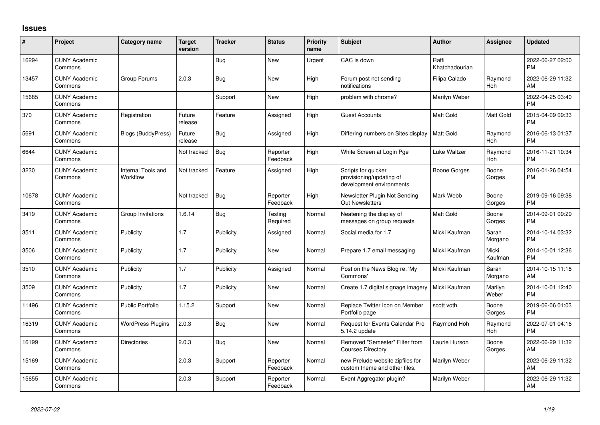## **Issues**

| #     | Project                         | <b>Category name</b>           | <b>Target</b><br>version | <b>Tracker</b> | <b>Status</b>        | Priority<br>name | <b>Subject</b>                                                              | <b>Author</b>           | Assignee         | <b>Updated</b>                |
|-------|---------------------------------|--------------------------------|--------------------------|----------------|----------------------|------------------|-----------------------------------------------------------------------------|-------------------------|------------------|-------------------------------|
| 16294 | <b>CUNY Academic</b><br>Commons |                                |                          | Bug            | <b>New</b>           | Urgent           | CAC is down                                                                 | Raffi<br>Khatchadourian |                  | 2022-06-27 02:00<br><b>PM</b> |
| 13457 | <b>CUNY Academic</b><br>Commons | Group Forums                   | 2.0.3                    | Bug            | New                  | High             | Forum post not sending<br>notifications                                     | Filipa Calado           | Raymond<br>Hoh   | 2022-06-29 11:32<br>AM        |
| 15685 | <b>CUNY Academic</b><br>Commons |                                |                          | Support        | New                  | High             | problem with chrome?                                                        | Marilyn Weber           |                  | 2022-04-25 03:40<br><b>PM</b> |
| 370   | <b>CUNY Academic</b><br>Commons | Registration                   | Future<br>release        | Feature        | Assigned             | High             | <b>Guest Accounts</b>                                                       | <b>Matt Gold</b>        | Matt Gold        | 2015-04-09 09:33<br><b>PM</b> |
| 5691  | <b>CUNY Academic</b><br>Commons | Blogs (BuddyPress)             | Future<br>release        | Bug            | Assigned             | High             | Differing numbers on Sites display                                          | <b>Matt Gold</b>        | Raymond<br>Hoh   | 2016-06-13 01:37<br><b>PM</b> |
| 6644  | <b>CUNY Academic</b><br>Commons |                                | Not tracked              | Bug            | Reporter<br>Feedback | High             | White Screen at Login Pge                                                   | Luke Waltzer            | Raymond<br>Hoh   | 2016-11-21 10:34<br>PM        |
| 3230  | <b>CUNY Academic</b><br>Commons | Internal Tools and<br>Workflow | Not tracked              | Feature        | Assigned             | High             | Scripts for quicker<br>provisioning/updating of<br>development environments | Boone Gorges            | Boone<br>Gorges  | 2016-01-26 04:54<br><b>PM</b> |
| 10678 | <b>CUNY Academic</b><br>Commons |                                | Not tracked              | Bug            | Reporter<br>Feedback | High             | Newsletter Plugin Not Sending<br>Out Newsletters                            | Mark Webb               | Boone<br>Gorges  | 2019-09-16 09:38<br><b>PM</b> |
| 3419  | <b>CUNY Academic</b><br>Commons | Group Invitations              | 1.6.14                   | Bug            | Testing<br>Required  | Normal           | Neatening the display of<br>messages on group requests                      | Matt Gold               | Boone<br>Gorges  | 2014-09-01 09:29<br><b>PM</b> |
| 3511  | <b>CUNY Academic</b><br>Commons | Publicity                      | 1.7                      | Publicity      | Assigned             | Normal           | Social media for 1.7                                                        | Micki Kaufman           | Sarah<br>Morgano | 2014-10-14 03:32<br><b>PM</b> |
| 3506  | <b>CUNY Academic</b><br>Commons | Publicity                      | 1.7                      | Publicity      | New                  | Normal           | Prepare 1.7 email messaging                                                 | Micki Kaufman           | Micki<br>Kaufman | 2014-10-01 12:36<br><b>PM</b> |
| 3510  | <b>CUNY Academic</b><br>Commons | Publicity                      | 1.7                      | Publicity      | Assigned             | Normal           | Post on the News Blog re: 'My<br>Commons'                                   | Micki Kaufman           | Sarah<br>Morgano | 2014-10-15 11:18<br><b>AM</b> |
| 3509  | <b>CUNY Academic</b><br>Commons | Publicity                      | 1.7                      | Publicity      | New                  | Normal           | Create 1.7 digital signage imagery                                          | Micki Kaufman           | Marilyn<br>Weber | 2014-10-01 12:40<br><b>PM</b> |
| 11496 | <b>CUNY Academic</b><br>Commons | <b>Public Portfolio</b>        | 1.15.2                   | Support        | <b>New</b>           | Normal           | Replace Twitter Icon on Member<br>Portfolio page                            | scott voth              | Boone<br>Gorges  | 2019-06-06 01:03<br><b>PM</b> |
| 16319 | <b>CUNY Academic</b><br>Commons | <b>WordPress Plugins</b>       | 2.0.3                    | Bug            | New                  | Normal           | Request for Events Calendar Pro<br>5.14.2 update                            | Raymond Hoh             | Raymond<br>Hoh   | 2022-07-01 04:16<br><b>PM</b> |
| 16199 | <b>CUNY Academic</b><br>Commons | Directories                    | 2.0.3                    | Bug            | <b>New</b>           | Normal           | Removed "Semester" Filter from<br><b>Courses Directory</b>                  | Laurie Hurson           | Boone<br>Gorges  | 2022-06-29 11:32<br>AM        |
| 15169 | <b>CUNY Academic</b><br>Commons |                                | 2.0.3                    | Support        | Reporter<br>Feedback | Normal           | new Prelude website zipfiles for<br>custom theme and other files.           | Marilyn Weber           |                  | 2022-06-29 11:32<br>AM        |
| 15655 | <b>CUNY Academic</b><br>Commons |                                | 2.0.3                    | Support        | Reporter<br>Feedback | Normal           | Event Aggregator plugin?                                                    | Marilyn Weber           |                  | 2022-06-29 11:32<br>AM        |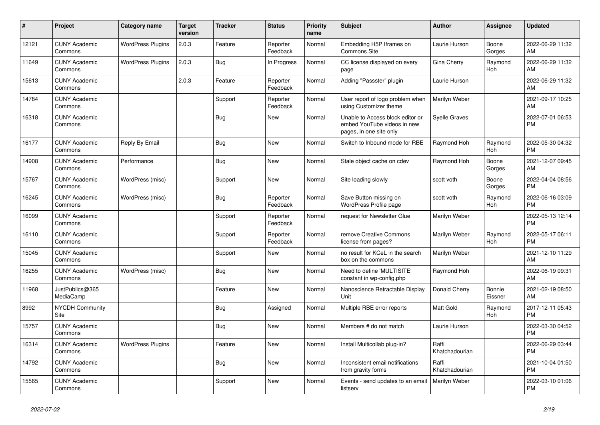| #     | Project                         | Category name            | <b>Target</b><br>version | <b>Tracker</b> | <b>Status</b>        | <b>Priority</b><br>name | <b>Subject</b>                                                                             | <b>Author</b>           | Assignee          | <b>Updated</b>                |
|-------|---------------------------------|--------------------------|--------------------------|----------------|----------------------|-------------------------|--------------------------------------------------------------------------------------------|-------------------------|-------------------|-------------------------------|
| 12121 | <b>CUNY Academic</b><br>Commons | <b>WordPress Plugins</b> | 2.0.3                    | Feature        | Reporter<br>Feedback | Normal                  | Embedding H5P Iframes on<br><b>Commons Site</b>                                            | Laurie Hurson           | Boone<br>Gorges   | 2022-06-29 11:32<br>AM        |
| 11649 | <b>CUNY Academic</b><br>Commons | <b>WordPress Plugins</b> | 2.0.3                    | <b>Bug</b>     | In Progress          | Normal                  | CC license displayed on every<br>page                                                      | Gina Cherry             | Raymond<br>Hoh    | 2022-06-29 11:32<br>AM        |
| 15613 | <b>CUNY Academic</b><br>Commons |                          | 2.0.3                    | Feature        | Reporter<br>Feedback | Normal                  | Adding "Passster" plugin                                                                   | Laurie Hurson           |                   | 2022-06-29 11:32<br>AM        |
| 14784 | <b>CUNY Academic</b><br>Commons |                          |                          | Support        | Reporter<br>Feedback | Normal                  | User report of logo problem when<br>using Customizer theme                                 | Marilyn Weber           |                   | 2021-09-17 10:25<br>AM        |
| 16318 | <b>CUNY Academic</b><br>Commons |                          |                          | Bug            | <b>New</b>           | Normal                  | Unable to Access block editor or<br>embed YouTube videos in new<br>pages, in one site only | Syelle Graves           |                   | 2022-07-01 06:53<br><b>PM</b> |
| 16177 | <b>CUNY Academic</b><br>Commons | Reply By Email           |                          | <b>Bug</b>     | <b>New</b>           | Normal                  | Switch to Inbound mode for RBE                                                             | Raymond Hoh             | Raymond<br>Hoh    | 2022-05-30 04:32<br><b>PM</b> |
| 14908 | <b>CUNY Academic</b><br>Commons | Performance              |                          | Bug            | New                  | Normal                  | Stale object cache on cdev                                                                 | Raymond Hoh             | Boone<br>Gorges   | 2021-12-07 09:45<br>AM        |
| 15767 | <b>CUNY Academic</b><br>Commons | WordPress (misc)         |                          | Support        | <b>New</b>           | Normal                  | Site loading slowly                                                                        | scott voth              | Boone<br>Gorges   | 2022-04-04 08:56<br><b>PM</b> |
| 16245 | <b>CUNY Academic</b><br>Commons | WordPress (misc)         |                          | Bug            | Reporter<br>Feedback | Normal                  | Save Button missing on<br><b>WordPress Profile page</b>                                    | scott voth              | Raymond<br>Hoh    | 2022-06-16 03:09<br><b>PM</b> |
| 16099 | <b>CUNY Academic</b><br>Commons |                          |                          | Support        | Reporter<br>Feedback | Normal                  | request for Newsletter Glue                                                                | Marilyn Weber           |                   | 2022-05-13 12:14<br><b>PM</b> |
| 16110 | <b>CUNY Academic</b><br>Commons |                          |                          | Support        | Reporter<br>Feedback | Normal                  | remove Creative Commons<br>license from pages?                                             | Marilyn Weber           | Raymond<br>Hoh    | 2022-05-17 06:11<br><b>PM</b> |
| 15045 | <b>CUNY Academic</b><br>Commons |                          |                          | Support        | <b>New</b>           | Normal                  | no result for KCeL in the search<br>box on the commons                                     | Marilyn Weber           |                   | 2021-12-10 11:29<br>AM        |
| 16255 | <b>CUNY Academic</b><br>Commons | WordPress (misc)         |                          | Bug            | <b>New</b>           | Normal                  | Need to define 'MULTISITE'<br>constant in wp-config.php                                    | Raymond Hoh             |                   | 2022-06-19 09:31<br>AM        |
| 11968 | JustPublics@365<br>MediaCamp    |                          |                          | Feature        | <b>New</b>           | Normal                  | Nanoscience Retractable Display<br>Unit                                                    | Donald Cherry           | Bonnie<br>Eissner | 2021-02-19 08:50<br>AM        |
| 8992  | <b>NYCDH Community</b><br>Site  |                          |                          | <b>Bug</b>     | Assigned             | Normal                  | Multiple RBE error reports                                                                 | <b>Matt Gold</b>        | Raymond<br>Hoh    | 2017-12-11 05:43<br><b>PM</b> |
| 15757 | <b>CUNY Academic</b><br>Commons |                          |                          | <b>Bug</b>     | <b>New</b>           | Normal                  | Members # do not match                                                                     | Laurie Hurson           |                   | 2022-03-30 04:52<br><b>PM</b> |
| 16314 | <b>CUNY Academic</b><br>Commons | <b>WordPress Plugins</b> |                          | Feature        | <b>New</b>           | Normal                  | Install Multicollab plug-in?                                                               | Raffi<br>Khatchadourian |                   | 2022-06-29 03:44<br><b>PM</b> |
| 14792 | <b>CUNY Academic</b><br>Commons |                          |                          | Bug            | <b>New</b>           | Normal                  | Inconsistent email notifications<br>from gravity forms                                     | Raffi<br>Khatchadourian |                   | 2021-10-04 01:50<br><b>PM</b> |
| 15565 | <b>CUNY Academic</b><br>Commons |                          |                          | Support        | <b>New</b>           | Normal                  | Events - send updates to an email<br>listserv                                              | Marilyn Weber           |                   | 2022-03-10 01:06<br><b>PM</b> |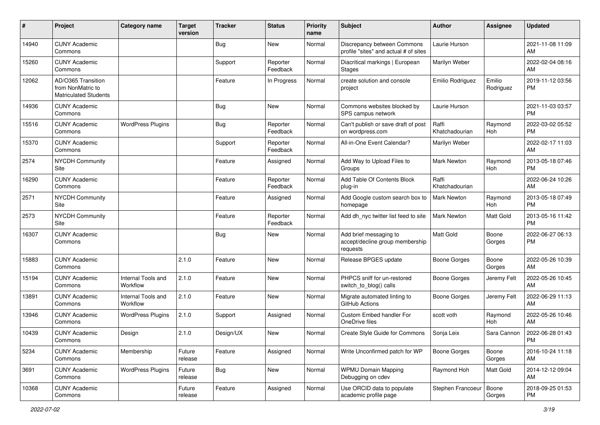| $\#$  | Project                                                                 | <b>Category name</b>           | <b>Target</b><br>version | <b>Tracker</b> | <b>Status</b>        | <b>Priority</b><br>name | <b>Subject</b>                                                        | Author                  | Assignee            | <b>Updated</b>                |
|-------|-------------------------------------------------------------------------|--------------------------------|--------------------------|----------------|----------------------|-------------------------|-----------------------------------------------------------------------|-------------------------|---------------------|-------------------------------|
| 14940 | <b>CUNY Academic</b><br>Commons                                         |                                |                          | <b>Bug</b>     | <b>New</b>           | Normal                  | Discrepancy between Commons<br>profile "sites" and actual # of sites  | Laurie Hurson           |                     | 2021-11-08 11:09<br>AM        |
| 15260 | <b>CUNY Academic</b><br>Commons                                         |                                |                          | Support        | Reporter<br>Feedback | Normal                  | Diacritical markings   European<br><b>Stages</b>                      | Marilyn Weber           |                     | 2022-02-04 08:16<br>AM        |
| 12062 | AD/O365 Transition<br>from NonMatric to<br><b>Matriculated Students</b> |                                |                          | Feature        | In Progress          | Normal                  | create solution and console<br>project                                | Emilio Rodriguez        | Emilio<br>Rodriguez | 2019-11-12 03:56<br><b>PM</b> |
| 14936 | <b>CUNY Academic</b><br>Commons                                         |                                |                          | Bug            | <b>New</b>           | Normal                  | Commons websites blocked by<br>SPS campus network                     | Laurie Hurson           |                     | 2021-11-03 03:57<br><b>PM</b> |
| 15516 | <b>CUNY Academic</b><br>Commons                                         | <b>WordPress Plugins</b>       |                          | Bug            | Reporter<br>Feedback | Normal                  | Can't publish or save draft of post<br>on wordpress.com               | Raffi<br>Khatchadourian | Raymond<br>Hoh      | 2022-03-02 05:52<br><b>PM</b> |
| 15370 | <b>CUNY Academic</b><br>Commons                                         |                                |                          | Support        | Reporter<br>Feedback | Normal                  | All-in-One Event Calendar?                                            | Marilyn Weber           |                     | 2022-02-17 11:03<br>AM        |
| 2574  | NYCDH Community<br>Site                                                 |                                |                          | Feature        | Assigned             | Normal                  | Add Way to Upload Files to<br>Groups                                  | <b>Mark Newton</b>      | Raymond<br>Hoh      | 2013-05-18 07:46<br><b>PM</b> |
| 16290 | <b>CUNY Academic</b><br>Commons                                         |                                |                          | Feature        | Reporter<br>Feedback | Normal                  | Add Table Of Contents Block<br>plug-in                                | Raffi<br>Khatchadourian |                     | 2022-06-24 10:26<br>AM        |
| 2571  | <b>NYCDH Community</b><br>Site                                          |                                |                          | Feature        | Assigned             | Normal                  | Add Google custom search box to<br>homepage                           | Mark Newton             | Raymond<br>Hoh      | 2013-05-18 07:49<br><b>PM</b> |
| 2573  | <b>NYCDH Community</b><br>Site                                          |                                |                          | Feature        | Reporter<br>Feedback | Normal                  | Add dh nyc twitter list feed to site                                  | <b>Mark Newton</b>      | Matt Gold           | 2013-05-16 11:42<br><b>PM</b> |
| 16307 | <b>CUNY Academic</b><br>Commons                                         |                                |                          | Bug            | <b>New</b>           | Normal                  | Add brief messaging to<br>accept/decline group membership<br>requests | Matt Gold               | Boone<br>Gorges     | 2022-06-27 06:13<br><b>PM</b> |
| 15883 | <b>CUNY Academic</b><br>Commons                                         |                                | 2.1.0                    | Feature        | <b>New</b>           | Normal                  | Release BPGES update                                                  | <b>Boone Gorges</b>     | Boone<br>Gorges     | 2022-05-26 10:39<br>AM        |
| 15194 | <b>CUNY Academic</b><br>Commons                                         | Internal Tools and<br>Workflow | 2.1.0                    | Feature        | <b>New</b>           | Normal                  | PHPCS sniff for un-restored<br>switch_to_blog() calls                 | <b>Boone Gorges</b>     | Jeremy Felt         | 2022-05-26 10:45<br>AM        |
| 13891 | <b>CUNY Academic</b><br>Commons                                         | Internal Tools and<br>Workflow | 2.1.0                    | Feature        | New                  | Normal                  | Migrate automated linting to<br>GitHub Actions                        | <b>Boone Gorges</b>     | Jeremy Felt         | 2022-06-29 11:13<br>AM        |
| 13946 | <b>CUNY Academic</b><br>Commons                                         | <b>WordPress Plugins</b>       | 2.1.0                    | Support        | Assigned             | Normal                  | Custom Embed handler For<br>OneDrive files                            | scott voth              | Raymond<br>Hoh      | 2022-05-26 10:46<br>AM        |
| 10439 | <b>CUNY Academic</b><br>Commons                                         | Design                         | 2.1.0                    | Design/UX      | <b>New</b>           | Normal                  | Create Style Guide for Commons                                        | Sonja Leix              | Sara Cannon         | 2022-06-28 01:43<br><b>PM</b> |
| 5234  | <b>CUNY Academic</b><br>Commons                                         | Membership                     | Future<br>release        | Feature        | Assigned             | Normal                  | Write Unconfirmed patch for WP                                        | <b>Boone Gorges</b>     | Boone<br>Gorges     | 2016-10-24 11:18<br>AM        |
| 3691  | <b>CUNY Academic</b><br>Commons                                         | <b>WordPress Plugins</b>       | Future<br>release        | <b>Bug</b>     | New                  | Normal                  | <b>WPMU Domain Mapping</b><br>Debugging on cdev                       | Raymond Hoh             | Matt Gold           | 2014-12-12 09:04<br>AM        |
| 10368 | <b>CUNY Academic</b><br>Commons                                         |                                | Future<br>release        | Feature        | Assigned             | Normal                  | Use ORCID data to populate<br>academic profile page                   | Stephen Francoeur       | Boone<br>Gorges     | 2018-09-25 01:53<br><b>PM</b> |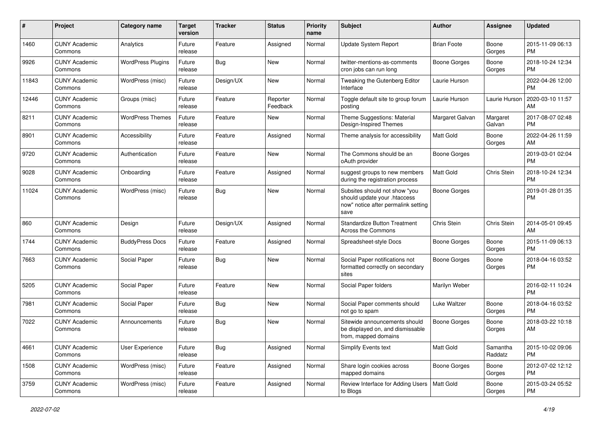| #     | Project                         | <b>Category name</b>     | <b>Target</b><br>version | <b>Tracker</b> | <b>Status</b>        | Priority<br>name | <b>Subject</b>                                                                                               | Author              | <b>Assignee</b>     | <b>Updated</b>                |
|-------|---------------------------------|--------------------------|--------------------------|----------------|----------------------|------------------|--------------------------------------------------------------------------------------------------------------|---------------------|---------------------|-------------------------------|
| 1460  | <b>CUNY Academic</b><br>Commons | Analytics                | Future<br>release        | Feature        | Assigned             | Normal           | Update System Report                                                                                         | <b>Brian Foote</b>  | Boone<br>Gorges     | 2015-11-09 06:13<br><b>PM</b> |
| 9926  | <b>CUNY Academic</b><br>Commons | <b>WordPress Plugins</b> | Future<br>release        | Bug            | New                  | Normal           | twitter-mentions-as-comments<br>cron jobs can run long                                                       | <b>Boone Gorges</b> | Boone<br>Gorges     | 2018-10-24 12:34<br><b>PM</b> |
| 11843 | <b>CUNY Academic</b><br>Commons | WordPress (misc)         | Future<br>release        | Design/UX      | <b>New</b>           | Normal           | Tweaking the Gutenberg Editor<br>Interface                                                                   | Laurie Hurson       |                     | 2022-04-26 12:00<br><b>PM</b> |
| 12446 | <b>CUNY Academic</b><br>Commons | Groups (misc)            | Future<br>release        | Feature        | Reporter<br>Feedback | Normal           | Toggle default site to group forum<br>posting                                                                | Laurie Hurson       | Laurie Hurson       | 2020-03-10 11:57<br>AM        |
| 8211  | <b>CUNY Academic</b><br>Commons | <b>WordPress Themes</b>  | Future<br>release        | Feature        | New                  | Normal           | Theme Suggestions: Material<br>Design-Inspired Themes                                                        | Margaret Galvan     | Margaret<br>Galvan  | 2017-08-07 02:48<br><b>PM</b> |
| 8901  | <b>CUNY Academic</b><br>Commons | Accessibility            | Future<br>release        | Feature        | Assigned             | Normal           | Theme analysis for accessibility                                                                             | <b>Matt Gold</b>    | Boone<br>Gorges     | 2022-04-26 11:59<br>AM        |
| 9720  | <b>CUNY Academic</b><br>Commons | Authentication           | Future<br>release        | Feature        | <b>New</b>           | Normal           | The Commons should be an<br>oAuth provider                                                                   | <b>Boone Gorges</b> |                     | 2019-03-01 02:04<br><b>PM</b> |
| 9028  | <b>CUNY Academic</b><br>Commons | Onboarding               | Future<br>release        | Feature        | Assigned             | Normal           | suggest groups to new members<br>during the registration process                                             | <b>Matt Gold</b>    | Chris Stein         | 2018-10-24 12:34<br><b>PM</b> |
| 11024 | <b>CUNY Academic</b><br>Commons | WordPress (misc)         | Future<br>release        | Bug            | New                  | Normal           | Subsites should not show "you<br>should update your .htaccess<br>now" notice after permalink setting<br>save | <b>Boone Gorges</b> |                     | 2019-01-28 01:35<br><b>PM</b> |
| 860   | <b>CUNY Academic</b><br>Commons | Design                   | Future<br>release        | Design/UX      | Assigned             | Normal           | <b>Standardize Button Treatment</b><br><b>Across the Commons</b>                                             | Chris Stein         | Chris Stein         | 2014-05-01 09:45<br>AM        |
| 1744  | <b>CUNY Academic</b><br>Commons | <b>BuddyPress Docs</b>   | Future<br>release        | Feature        | Assigned             | Normal           | Spreadsheet-style Docs                                                                                       | <b>Boone Gorges</b> | Boone<br>Gorges     | 2015-11-09 06:13<br><b>PM</b> |
| 7663  | <b>CUNY Academic</b><br>Commons | Social Paper             | Future<br>release        | Bug            | New                  | Normal           | Social Paper notifications not<br>formatted correctly on secondary<br>sites                                  | <b>Boone Gorges</b> | Boone<br>Gorges     | 2018-04-16 03:52<br><b>PM</b> |
| 5205  | <b>CUNY Academic</b><br>Commons | Social Paper             | Future<br>release        | Feature        | New                  | Normal           | Social Paper folders                                                                                         | Marilyn Weber       |                     | 2016-02-11 10:24<br><b>PM</b> |
| 7981  | <b>CUNY Academic</b><br>Commons | Social Paper             | Future<br>release        | Bug            | <b>New</b>           | Normal           | Social Paper comments should<br>not go to spam                                                               | Luke Waltzer        | Boone<br>Gorges     | 2018-04-16 03:52<br><b>PM</b> |
| 7022  | <b>CUNY Academic</b><br>Commons | Announcements            | Future<br>release        | Bug            | <b>New</b>           | Normal           | Sitewide announcements should<br>be displayed on, and dismissable<br>from, mapped domains                    | Boone Gorges        | Boone<br>Gorges     | 2018-03-22 10:18<br>AM        |
| 4661  | <b>CUNY Academic</b><br>Commons | User Experience          | Future<br>release        | <b>Bug</b>     | Assigned             | Normal           | Simplify Events text                                                                                         | Matt Gold           | Samantha<br>Raddatz | 2015-10-02 09:06<br><b>PM</b> |
| 1508  | <b>CUNY Academic</b><br>Commons | WordPress (misc)         | Future<br>release        | Feature        | Assigned             | Normal           | Share login cookies across<br>mapped domains                                                                 | <b>Boone Gorges</b> | Boone<br>Gorges     | 2012-07-02 12:12<br><b>PM</b> |
| 3759  | <b>CUNY Academic</b><br>Commons | WordPress (misc)         | Future<br>release        | Feature        | Assigned             | Normal           | Review Interface for Adding Users   Matt Gold<br>to Blogs                                                    |                     | Boone<br>Gorges     | 2015-03-24 05:52<br><b>PM</b> |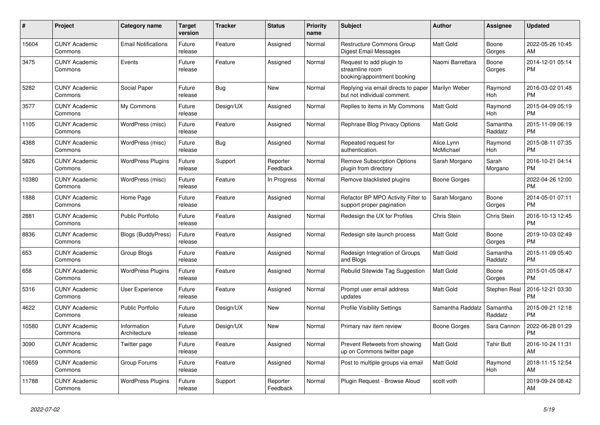| #     | Project                         | <b>Category name</b>        | <b>Target</b><br>version | <b>Tracker</b> | <b>Status</b>        | <b>Priority</b><br>name | <b>Subject</b>                                                             | <b>Author</b>           | <b>Assignee</b>     | <b>Updated</b>                |
|-------|---------------------------------|-----------------------------|--------------------------|----------------|----------------------|-------------------------|----------------------------------------------------------------------------|-------------------------|---------------------|-------------------------------|
| 15604 | <b>CUNY Academic</b><br>Commons | <b>Email Notifications</b>  | Future<br>release        | Feature        | Assigned             | Normal                  | <b>Restructure Commons Group</b><br>Digest Email Messages                  | <b>Matt Gold</b>        | Boone<br>Gorges     | 2022-05-26 10:45<br>AM        |
| 3475  | <b>CUNY Academic</b><br>Commons | Events                      | Future<br>release        | Feature        | Assigned             | Normal                  | Request to add plugin to<br>streamline room<br>booking/appointment booking | Naomi Barrettara        | Boone<br>Gorges     | 2014-12-01 05:14<br><b>PM</b> |
| 5282  | <b>CUNY Academic</b><br>Commons | Social Paper                | Future<br>release        | Bug            | <b>New</b>           | Normal                  | Replying via email directs to paper<br>but not individual comment.         | Marilyn Weber           | Raymond<br>Hoh      | 2016-03-02 01:48<br><b>PM</b> |
| 3577  | <b>CUNY Academic</b><br>Commons | My Commons                  | Future<br>release        | Design/UX      | Assigned             | Normal                  | Replies to items in My Commons                                             | <b>Matt Gold</b>        | Raymond<br>Hoh      | 2015-04-09 05:19<br><b>PM</b> |
| 1105  | <b>CUNY Academic</b><br>Commons | WordPress (misc)            | Future<br>release        | Feature        | Assigned             | Normal                  | Rephrase Blog Privacy Options                                              | <b>Matt Gold</b>        | Samantha<br>Raddatz | 2015-11-09 06:19<br><b>PM</b> |
| 4388  | <b>CUNY Academic</b><br>Commons | WordPress (misc)            | Future<br>release        | Bug            | Assigned             | Normal                  | Repeated request for<br>authentication.                                    | Alice.Lynn<br>McMichael | Raymond<br>Hoh      | 2015-08-11 07:35<br><b>PM</b> |
| 5826  | <b>CUNY Academic</b><br>Commons | <b>WordPress Plugins</b>    | Future<br>release        | Support        | Reporter<br>Feedback | Normal                  | <b>Remove Subscription Options</b><br>plugin from directory                | Sarah Morgano           | Sarah<br>Morgano    | 2016-10-21 04:14<br><b>PM</b> |
| 10380 | <b>CUNY Academic</b><br>Commons | WordPress (misc)            | Future<br>release        | Feature        | In Progress          | Normal                  | Remove blacklisted plugins                                                 | Boone Gorges            |                     | 2022-04-26 12:00<br><b>PM</b> |
| 1888  | <b>CUNY Academic</b><br>Commons | Home Page                   | Future<br>release        | Feature        | Assigned             | Normal                  | Refactor BP MPO Activity Filter to<br>support proper pagination            | Sarah Morgano           | Boone<br>Gorges     | 2014-05-01 07:11<br><b>PM</b> |
| 2881  | <b>CUNY Academic</b><br>Commons | <b>Public Portfolio</b>     | Future<br>release        | Feature        | Assigned             | Normal                  | Redesign the UX for Profiles                                               | Chris Stein             | <b>Chris Stein</b>  | 2016-10-13 12:45<br><b>PM</b> |
| 8836  | <b>CUNY Academic</b><br>Commons | <b>Blogs (BuddyPress)</b>   | Future<br>release        | Feature        | Assigned             | Normal                  | Redesign site launch process                                               | <b>Matt Gold</b>        | Boone<br>Gorges     | 2019-10-03 02:49<br><b>PM</b> |
| 653   | <b>CUNY Academic</b><br>Commons | Group Blogs                 | Future<br>release        | Feature        | Assigned             | Normal                  | Redesign Integration of Groups<br>and Blogs                                | <b>Matt Gold</b>        | Samantha<br>Raddatz | 2015-11-09 05:40<br><b>PM</b> |
| 658   | <b>CUNY Academic</b><br>Commons | <b>WordPress Plugins</b>    | Future<br>release        | Feature        | Assigned             | Normal                  | Rebulid Sitewide Tag Suggestion                                            | <b>Matt Gold</b>        | Boone<br>Gorges     | 2015-01-05 08:47<br><b>PM</b> |
| 5316  | <b>CUNY Academic</b><br>Commons | <b>User Experience</b>      | Future<br>release        | Feature        | Assigned             | Normal                  | Prompt user email address<br>updates                                       | <b>Matt Gold</b>        | Stephen Real        | 2016-12-21 03:30<br><b>PM</b> |
| 4622  | <b>CUNY Academic</b><br>Commons | Public Portfolio            | Future<br>release        | Design/UX      | New                  | Normal                  | <b>Profile Visibility Settings</b>                                         | Samantha Raddatz        | Samantha<br>Raddatz | 2015-09-21 12:18<br><b>PM</b> |
| 10580 | <b>CUNY Academic</b><br>Commons | Information<br>Architecture | Future<br>release        | Design/UX      | New                  | Normal                  | Primary nav item review                                                    | Boone Gorges            | Sara Cannon         | 2022-06-28 01:29<br><b>PM</b> |
| 3090  | <b>CUNY Academic</b><br>Commons | Twitter page                | Future<br>release        | Feature        | Assigned             | Normal                  | Prevent Retweets from showing<br>up on Commons twitter page                | <b>Matt Gold</b>        | <b>Tahir Butt</b>   | 2016-10-24 11:31<br>AM        |
| 10659 | <b>CUNY Academic</b><br>Commons | Group Forums                | Future<br>release        | Feature        | Assigned             | Normal                  | Post to multiple groups via email                                          | <b>Matt Gold</b>        | Raymond<br>Hoh      | 2018-11-15 12:54<br>AM        |
| 11788 | <b>CUNY Academic</b><br>Commons | <b>WordPress Plugins</b>    | Future<br>release        | Support        | Reporter<br>Feedback | Normal                  | Plugin Request - Browse Aloud                                              | scott voth              |                     | 2019-09-24 08:42<br>AM        |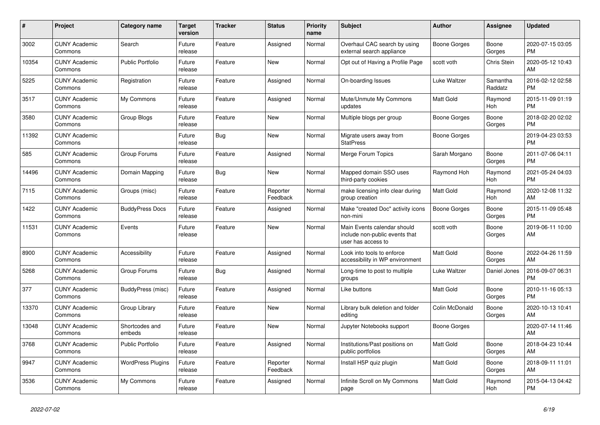| $\#$  | Project                         | <b>Category name</b>     | <b>Target</b><br>version | <b>Tracker</b> | <b>Status</b>        | <b>Priority</b><br>name | <b>Subject</b>                                                                      | <b>Author</b>    | <b>Assignee</b>     | <b>Updated</b>                |
|-------|---------------------------------|--------------------------|--------------------------|----------------|----------------------|-------------------------|-------------------------------------------------------------------------------------|------------------|---------------------|-------------------------------|
| 3002  | <b>CUNY Academic</b><br>Commons | Search                   | Future<br>release        | Feature        | Assigned             | Normal                  | Overhaul CAC search by using<br>external search appliance                           | Boone Gorges     | Boone<br>Gorges     | 2020-07-15 03:05<br><b>PM</b> |
| 10354 | <b>CUNY Academic</b><br>Commons | <b>Public Portfolio</b>  | Future<br>release        | Feature        | New                  | Normal                  | Opt out of Having a Profile Page                                                    | scott voth       | <b>Chris Stein</b>  | 2020-05-12 10:43<br>AM        |
| 5225  | <b>CUNY Academic</b><br>Commons | Registration             | Future<br>release        | Feature        | Assigned             | Normal                  | On-boarding Issues                                                                  | Luke Waltzer     | Samantha<br>Raddatz | 2016-02-12 02:58<br><b>PM</b> |
| 3517  | <b>CUNY Academic</b><br>Commons | My Commons               | Future<br>release        | Feature        | Assigned             | Normal                  | Mute/Unmute My Commons<br>updates                                                   | Matt Gold        | Raymond<br>Hoh      | 2015-11-09 01:19<br><b>PM</b> |
| 3580  | <b>CUNY Academic</b><br>Commons | Group Blogs              | Future<br>release        | Feature        | New                  | Normal                  | Multiple blogs per group                                                            | Boone Gorges     | Boone<br>Gorges     | 2018-02-20 02:02<br><b>PM</b> |
| 11392 | <b>CUNY Academic</b><br>Commons |                          | Future<br>release        | Bug            | New                  | Normal                  | Migrate users away from<br><b>StatPress</b>                                         | Boone Gorges     |                     | 2019-04-23 03:53<br><b>PM</b> |
| 585   | <b>CUNY Academic</b><br>Commons | Group Forums             | Future<br>release        | Feature        | Assigned             | Normal                  | Merge Forum Topics                                                                  | Sarah Morgano    | Boone<br>Gorges     | 2011-07-06 04:11<br><b>PM</b> |
| 14496 | <b>CUNY Academic</b><br>Commons | Domain Mapping           | Future<br>release        | Bug            | New                  | Normal                  | Mapped domain SSO uses<br>third-party cookies                                       | Raymond Hoh      | Raymond<br>Hoh      | 2021-05-24 04:03<br><b>PM</b> |
| 7115  | <b>CUNY Academic</b><br>Commons | Groups (misc)            | Future<br>release        | Feature        | Reporter<br>Feedback | Normal                  | make licensing info clear during<br>group creation                                  | Matt Gold        | Raymond<br>Hoh      | 2020-12-08 11:32<br>AM        |
| 1422  | <b>CUNY Academic</b><br>Commons | <b>BuddyPress Docs</b>   | Future<br>release        | Feature        | Assigned             | Normal                  | Make "created Doc" activity icons<br>non-mini                                       | Boone Gorges     | Boone<br>Gorges     | 2015-11-09 05:48<br><b>PM</b> |
| 11531 | <b>CUNY Academic</b><br>Commons | Events                   | Future<br>release        | Feature        | New                  | Normal                  | Main Events calendar should<br>include non-public events that<br>user has access to | scott voth       | Boone<br>Gorges     | 2019-06-11 10:00<br>AM        |
| 8900  | <b>CUNY Academic</b><br>Commons | Accessibility            | Future<br>release        | Feature        | Assigned             | Normal                  | Look into tools to enforce<br>accessibility in WP environment                       | <b>Matt Gold</b> | Boone<br>Gorges     | 2022-04-26 11:59<br>AM        |
| 5268  | <b>CUNY Academic</b><br>Commons | Group Forums             | Future<br>release        | Bug            | Assigned             | Normal                  | Long-time to post to multiple<br>groups                                             | Luke Waltzer     | Daniel Jones        | 2016-09-07 06:31<br><b>PM</b> |
| 377   | <b>CUNY Academic</b><br>Commons | BuddyPress (misc)        | Future<br>release        | Feature        | Assigned             | Normal                  | Like buttons                                                                        | Matt Gold        | Boone<br>Gorges     | 2010-11-16 05:13<br><b>PM</b> |
| 13370 | <b>CUNY Academic</b><br>Commons | Group Library            | Future<br>release        | Feature        | New                  | Normal                  | Library bulk deletion and folder<br>editing                                         | Colin McDonald   | Boone<br>Gorges     | 2020-10-13 10:41<br>AM        |
| 13048 | <b>CUNY Academic</b><br>Commons | Shortcodes and<br>embeds | Future<br>release        | Feature        | <b>New</b>           | Normal                  | Jupyter Notebooks support                                                           | Boone Gorges     |                     | 2020-07-14 11:46<br>AM        |
| 3768  | <b>CUNY Academic</b><br>Commons | <b>Public Portfolio</b>  | Future<br>release        | Feature        | Assigned             | Normal                  | Institutions/Past positions on<br>public portfolios                                 | <b>Matt Gold</b> | Boone<br>Gorges     | 2018-04-23 10:44<br>AM        |
| 9947  | <b>CUNY Academic</b><br>Commons | <b>WordPress Plugins</b> | Future<br>release        | Feature        | Reporter<br>Feedback | Normal                  | Install H5P quiz plugin                                                             | Matt Gold        | Boone<br>Gorges     | 2018-09-11 11:01<br>AM        |
| 3536  | <b>CUNY Academic</b><br>Commons | My Commons               | Future<br>release        | Feature        | Assigned             | Normal                  | Infinite Scroll on My Commons<br>page                                               | <b>Matt Gold</b> | Raymond<br>Hoh      | 2015-04-13 04:42<br><b>PM</b> |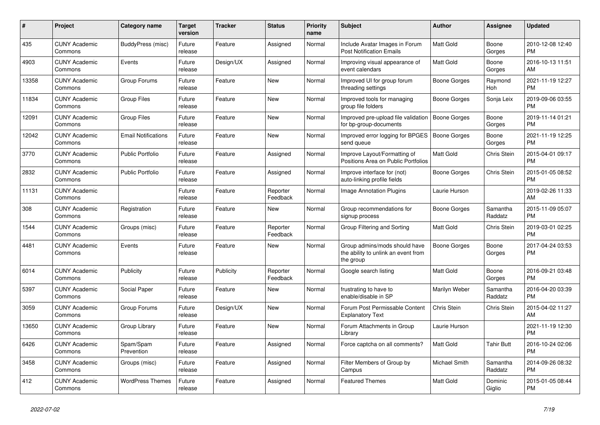| $\pmb{\#}$ | Project                         | Category name              | <b>Target</b><br>version | <b>Tracker</b> | <b>Status</b>        | Priority<br>name | <b>Subject</b>                                                                    | <b>Author</b>       | Assignee            | <b>Updated</b>                |
|------------|---------------------------------|----------------------------|--------------------------|----------------|----------------------|------------------|-----------------------------------------------------------------------------------|---------------------|---------------------|-------------------------------|
| 435        | <b>CUNY Academic</b><br>Commons | BuddyPress (misc)          | Future<br>release        | Feature        | Assigned             | Normal           | Include Avatar Images in Forum<br><b>Post Notification Emails</b>                 | <b>Matt Gold</b>    | Boone<br>Gorges     | 2010-12-08 12:40<br><b>PM</b> |
| 4903       | <b>CUNY Academic</b><br>Commons | Events                     | Future<br>release        | Design/UX      | Assigned             | Normal           | Improving visual appearance of<br>event calendars                                 | Matt Gold           | Boone<br>Gorges     | 2016-10-13 11:51<br>AM        |
| 13358      | <b>CUNY Academic</b><br>Commons | Group Forums               | Future<br>release        | Feature        | <b>New</b>           | Normal           | Improved UI for group forum<br>threading settings                                 | Boone Gorges        | Raymond<br>Hoh      | 2021-11-19 12:27<br><b>PM</b> |
| 11834      | <b>CUNY Academic</b><br>Commons | <b>Group Files</b>         | Future<br>release        | Feature        | <b>New</b>           | Normal           | Improved tools for managing<br>group file folders                                 | Boone Gorges        | Sonja Leix          | 2019-09-06 03:55<br><b>PM</b> |
| 12091      | <b>CUNY Academic</b><br>Commons | <b>Group Files</b>         | Future<br>release        | Feature        | <b>New</b>           | Normal           | Improved pre-upload file validation<br>for bp-group-documents                     | Boone Gorges        | Boone<br>Gorges     | 2019-11-14 01:21<br><b>PM</b> |
| 12042      | <b>CUNY Academic</b><br>Commons | <b>Email Notifications</b> | Future<br>release        | Feature        | New                  | Normal           | Improved error logging for BPGES<br>send queue                                    | <b>Boone Gorges</b> | Boone<br>Gorges     | 2021-11-19 12:25<br><b>PM</b> |
| 3770       | <b>CUNY Academic</b><br>Commons | <b>Public Portfolio</b>    | Future<br>release        | Feature        | Assigned             | Normal           | Improve Layout/Formatting of<br>Positions Area on Public Portfolios               | <b>Matt Gold</b>    | Chris Stein         | 2015-04-01 09:17<br><b>PM</b> |
| 2832       | <b>CUNY Academic</b><br>Commons | <b>Public Portfolio</b>    | Future<br>release        | Feature        | Assigned             | Normal           | Improve interface for (not)<br>auto-linking profile fields                        | Boone Gorges        | Chris Stein         | 2015-01-05 08:52<br><b>PM</b> |
| 11131      | <b>CUNY Academic</b><br>Commons |                            | Future<br>release        | Feature        | Reporter<br>Feedback | Normal           | Image Annotation Plugins                                                          | Laurie Hurson       |                     | 2019-02-26 11:33<br>AM        |
| 308        | <b>CUNY Academic</b><br>Commons | Registration               | Future<br>release        | Feature        | <b>New</b>           | Normal           | Group recommendations for<br>signup process                                       | Boone Gorges        | Samantha<br>Raddatz | 2015-11-09 05:07<br><b>PM</b> |
| 1544       | <b>CUNY Academic</b><br>Commons | Groups (misc)              | Future<br>release        | Feature        | Reporter<br>Feedback | Normal           | Group Filtering and Sorting                                                       | Matt Gold           | Chris Stein         | 2019-03-01 02:25<br><b>PM</b> |
| 4481       | <b>CUNY Academic</b><br>Commons | Events                     | Future<br>release        | Feature        | <b>New</b>           | Normal           | Group admins/mods should have<br>the ability to unlink an event from<br>the group | Boone Gorges        | Boone<br>Gorges     | 2017-04-24 03:53<br><b>PM</b> |
| 6014       | <b>CUNY Academic</b><br>Commons | Publicity                  | Future<br>release        | Publicity      | Reporter<br>Feedback | Normal           | Google search listing                                                             | Matt Gold           | Boone<br>Gorges     | 2016-09-21 03:48<br><b>PM</b> |
| 5397       | <b>CUNY Academic</b><br>Commons | Social Paper               | Future<br>release        | Feature        | <b>New</b>           | Normal           | frustrating to have to<br>enable/disable in SP                                    | Marilyn Weber       | Samantha<br>Raddatz | 2016-04-20 03:39<br><b>PM</b> |
| 3059       | <b>CUNY Academic</b><br>Commons | Group Forums               | Future<br>release        | Design/UX      | <b>New</b>           | Normal           | Forum Post Permissable Content<br><b>Explanatory Text</b>                         | Chris Stein         | <b>Chris Stein</b>  | 2015-04-02 11:27<br>AM        |
| 13650      | <b>CUNY Academic</b><br>Commons | Group Library              | Future<br>release        | Feature        | <b>New</b>           | Normal           | Forum Attachments in Group<br>Library                                             | Laurie Hurson       |                     | 2021-11-19 12:30<br><b>PM</b> |
| 6426       | <b>CUNY Academic</b><br>Commons | Spam/Spam<br>Prevention    | Future<br>release        | Feature        | Assigned             | Normal           | Force captcha on all comments?                                                    | Matt Gold           | <b>Tahir Butt</b>   | 2016-10-24 02:06<br><b>PM</b> |
| 3458       | <b>CUNY Academic</b><br>Commons | Groups (misc)              | Future<br>release        | Feature        | Assigned             | Normal           | Filter Members of Group by<br>Campus                                              | Michael Smith       | Samantha<br>Raddatz | 2014-09-26 08:32<br><b>PM</b> |
| 412        | <b>CUNY Academic</b><br>Commons | <b>WordPress Themes</b>    | Future<br>release        | Feature        | Assigned             | Normal           | <b>Featured Themes</b>                                                            | <b>Matt Gold</b>    | Dominic<br>Giglio   | 2015-01-05 08:44<br><b>PM</b> |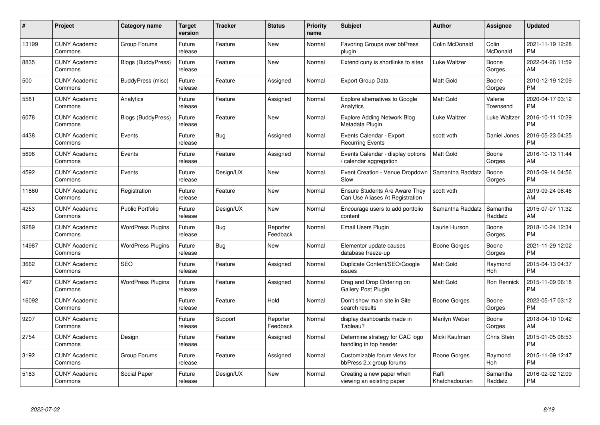| #     | Project                         | <b>Category name</b>      | Target<br>version | <b>Tracker</b> | <b>Status</b>        | Priority<br>name | <b>Subject</b>                                                           | <b>Author</b>           | <b>Assignee</b>     | <b>Updated</b>                |
|-------|---------------------------------|---------------------------|-------------------|----------------|----------------------|------------------|--------------------------------------------------------------------------|-------------------------|---------------------|-------------------------------|
| 13199 | <b>CUNY Academic</b><br>Commons | Group Forums              | Future<br>release | Feature        | <b>New</b>           | Normal           | Favoring Groups over bbPress<br>plugin                                   | Colin McDonald          | Colin<br>McDonald   | 2021-11-19 12:28<br><b>PM</b> |
| 8835  | <b>CUNY Academic</b><br>Commons | <b>Blogs (BuddyPress)</b> | Future<br>release | Feature        | <b>New</b>           | Normal           | Extend cuny is shortlinks to sites                                       | Luke Waltzer            | Boone<br>Gorges     | 2022-04-26 11:59<br>AM.       |
| 500   | <b>CUNY Academic</b><br>Commons | BuddyPress (misc)         | Future<br>release | Feature        | Assigned             | Normal           | <b>Export Group Data</b>                                                 | <b>Matt Gold</b>        | Boone<br>Gorges     | 2010-12-19 12:09<br><b>PM</b> |
| 5581  | <b>CUNY Academic</b><br>Commons | Analytics                 | Future<br>release | Feature        | Assigned             | Normal           | <b>Explore alternatives to Google</b><br>Analytics                       | <b>Matt Gold</b>        | Valerie<br>Townsend | 2020-04-17 03:12<br><b>PM</b> |
| 6078  | <b>CUNY Academic</b><br>Commons | <b>Blogs (BuddyPress)</b> | Future<br>release | Feature        | <b>New</b>           | Normal           | <b>Explore Adding Network Blog</b><br>Metadata Plugin                    | Luke Waltzer            | Luke Waltzer        | 2016-10-11 10:29<br><b>PM</b> |
| 4438  | <b>CUNY Academic</b><br>Commons | Events                    | Future<br>release | Bug            | Assigned             | Normal           | Events Calendar - Export<br><b>Recurring Events</b>                      | scott voth              | Daniel Jones        | 2016-05-23 04:25<br><b>PM</b> |
| 5696  | <b>CUNY Academic</b><br>Commons | Events                    | Future<br>release | Feature        | Assigned             | Normal           | Events Calendar - display options<br>calendar aggregation                | Matt Gold               | Boone<br>Gorges     | 2016-10-13 11:44<br>AM        |
| 4592  | <b>CUNY Academic</b><br>Commons | Events                    | Future<br>release | Design/UX      | <b>New</b>           | Normal           | Event Creation - Venue Dropdown<br>Slow                                  | Samantha Raddatz        | Boone<br>Gorges     | 2015-09-14 04:56<br><b>PM</b> |
| 11860 | <b>CUNY Academic</b><br>Commons | Registration              | Future<br>release | Feature        | <b>New</b>           | Normal           | <b>Ensure Students Are Aware They</b><br>Can Use Aliases At Registration | scott voth              |                     | 2019-09-24 08:46<br>AM        |
| 4253  | <b>CUNY Academic</b><br>Commons | Public Portfolio          | Future<br>release | Design/UX      | <b>New</b>           | Normal           | Encourage users to add portfolio<br>content                              | Samantha Raddatz        | Samantha<br>Raddatz | 2015-07-07 11:32<br>AM        |
| 9289  | <b>CUNY Academic</b><br>Commons | <b>WordPress Plugins</b>  | Future<br>release | Bug            | Reporter<br>Feedback | Normal           | Email Users Plugin                                                       | Laurie Hurson           | Boone<br>Gorges     | 2018-10-24 12:34<br><b>PM</b> |
| 14987 | <b>CUNY Academic</b><br>Commons | <b>WordPress Plugins</b>  | Future<br>release | <b>Bug</b>     | <b>New</b>           | Normal           | Elementor update causes<br>database freeze-up                            | Boone Gorges            | Boone<br>Gorges     | 2021-11-29 12:02<br><b>PM</b> |
| 3662  | <b>CUNY Academic</b><br>Commons | <b>SEO</b>                | Future<br>release | Feature        | Assigned             | Normal           | Duplicate Content/SEO/Google<br>issues                                   | Matt Gold               | Raymond<br>Hoh      | 2015-04-13 04:37<br><b>PM</b> |
| 497   | <b>CUNY Academic</b><br>Commons | <b>WordPress Plugins</b>  | Future<br>release | Feature        | Assigned             | Normal           | Drag and Drop Ordering on<br><b>Gallery Post Plugin</b>                  | Matt Gold               | Ron Rennick         | 2015-11-09 06:18<br><b>PM</b> |
| 16092 | <b>CUNY Academic</b><br>Commons |                           | Future<br>release | Feature        | Hold                 | Normal           | Don't show main site in Site<br>search results                           | Boone Gorges            | Boone<br>Gorges     | 2022-05-17 03:12<br><b>PM</b> |
| 9207  | <b>CUNY Academic</b><br>Commons |                           | Future<br>release | Support        | Reporter<br>Feedback | Normal           | display dashboards made in<br>Tableau?                                   | Marilyn Weber           | Boone<br>Gorges     | 2018-04-10 10:42<br>AM        |
| 2754  | <b>CUNY Academic</b><br>Commons | Design                    | Future<br>release | Feature        | Assigned             | Normal           | Determine strategy for CAC logo<br>handling in top header                | Micki Kaufman           | Chris Stein         | 2015-01-05 08:53<br><b>PM</b> |
| 3192  | <b>CUNY Academic</b><br>Commons | Group Forums              | Future<br>release | Feature        | Assigned             | Normal           | Customizable forum views for<br>bbPress 2.x group forums                 | Boone Gorges            | Raymond<br>Hoh      | 2015-11-09 12:47<br><b>PM</b> |
| 5183  | <b>CUNY Academic</b><br>Commons | Social Paper              | Future<br>release | Design/UX      | New                  | Normal           | Creating a new paper when<br>viewing an existing paper                   | Raffi<br>Khatchadourian | Samantha<br>Raddatz | 2016-02-02 12:09<br>PM        |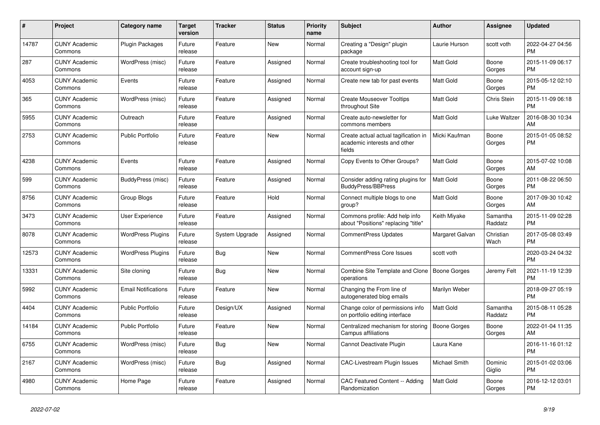| #     | <b>Project</b>                  | Category name              | <b>Target</b><br>version | <b>Tracker</b> | <b>Status</b> | Priority<br>name | <b>Subject</b>                                                                 | <b>Author</b>       | Assignee            | <b>Updated</b>                |
|-------|---------------------------------|----------------------------|--------------------------|----------------|---------------|------------------|--------------------------------------------------------------------------------|---------------------|---------------------|-------------------------------|
| 14787 | <b>CUNY Academic</b><br>Commons | <b>Plugin Packages</b>     | Future<br>release        | Feature        | <b>New</b>    | Normal           | Creating a "Design" plugin<br>package                                          | Laurie Hurson       | scott voth          | 2022-04-27 04:56<br><b>PM</b> |
| 287   | <b>CUNY Academic</b><br>Commons | WordPress (misc)           | Future<br>release        | Feature        | Assigned      | Normal           | Create troubleshooting tool for<br>account sign-up                             | Matt Gold           | Boone<br>Gorges     | 2015-11-09 06:17<br><b>PM</b> |
| 4053  | <b>CUNY Academic</b><br>Commons | Events                     | Future<br>release        | Feature        | Assigned      | Normal           | Create new tab for past events                                                 | Matt Gold           | Boone<br>Gorges     | 2015-05-12 02:10<br><b>PM</b> |
| 365   | <b>CUNY Academic</b><br>Commons | WordPress (misc)           | Future<br>release        | Feature        | Assigned      | Normal           | <b>Create Mouseover Tooltips</b><br>throughout Site                            | <b>Matt Gold</b>    | Chris Stein         | 2015-11-09 06:18<br><b>PM</b> |
| 5955  | <b>CUNY Academic</b><br>Commons | Outreach                   | Future<br>release        | Feature        | Assigned      | Normal           | Create auto-newsletter for<br>commons members                                  | Matt Gold           | Luke Waltzer        | 2016-08-30 10:34<br>AM        |
| 2753  | <b>CUNY Academic</b><br>Commons | <b>Public Portfolio</b>    | Future<br>release        | Feature        | New           | Normal           | Create actual actual tagification in<br>academic interests and other<br>fields | Micki Kaufman       | Boone<br>Gorges     | 2015-01-05 08:52<br><b>PM</b> |
| 4238  | <b>CUNY Academic</b><br>Commons | Events                     | Future<br>release        | Feature        | Assigned      | Normal           | Copy Events to Other Groups?                                                   | Matt Gold           | Boone<br>Gorges     | 2015-07-02 10:08<br>AM        |
| 599   | <b>CUNY Academic</b><br>Commons | BuddyPress (misc)          | Future<br>release        | Feature        | Assigned      | Normal           | Consider adding rating plugins for<br><b>BuddyPress/BBPress</b>                | <b>Matt Gold</b>    | Boone<br>Gorges     | 2011-08-22 06:50<br><b>PM</b> |
| 8756  | <b>CUNY Academic</b><br>Commons | Group Blogs                | Future<br>release        | Feature        | Hold          | Normal           | Connect multiple blogs to one<br>group?                                        | Matt Gold           | Boone<br>Gorges     | 2017-09-30 10:42<br>AM        |
| 3473  | <b>CUNY Academic</b><br>Commons | <b>User Experience</b>     | Future<br>release        | Feature        | Assigned      | Normal           | Commons profile: Add help info<br>about "Positions" replacing "title"          | Keith Miyake        | Samantha<br>Raddatz | 2015-11-09 02:28<br><b>PM</b> |
| 8078  | <b>CUNY Academic</b><br>Commons | <b>WordPress Plugins</b>   | Future<br>release        | System Upgrade | Assigned      | Normal           | <b>CommentPress Updates</b>                                                    | Margaret Galvan     | Christian<br>Wach   | 2017-05-08 03:49<br><b>PM</b> |
| 12573 | <b>CUNY Academic</b><br>Commons | <b>WordPress Plugins</b>   | Future<br>release        | Bug            | New           | Normal           | <b>CommentPress Core Issues</b>                                                | scott voth          |                     | 2020-03-24 04:32<br><b>PM</b> |
| 13331 | <b>CUNY Academic</b><br>Commons | Site cloning               | Future<br>release        | Bug            | <b>New</b>    | Normal           | Combine Site Template and Clone<br>operations                                  | Boone Gorges        | Jeremy Felt         | 2021-11-19 12:39<br><b>PM</b> |
| 5992  | <b>CUNY Academic</b><br>Commons | <b>Email Notifications</b> | Future<br>release        | Feature        | <b>New</b>    | Normal           | Changing the From line of<br>autogenerated blog emails                         | Marilyn Weber       |                     | 2018-09-27 05:19<br><b>PM</b> |
| 4404  | <b>CUNY Academic</b><br>Commons | <b>Public Portfolio</b>    | Future<br>release        | Design/UX      | Assigned      | Normal           | Change color of permissions info<br>on portfolio editing interface             | <b>Matt Gold</b>    | Samantha<br>Raddatz | 2015-08-11 05:28<br><b>PM</b> |
| 14184 | <b>CUNY Academic</b><br>Commons | <b>Public Portfolio</b>    | Future<br>release        | Feature        | New           | Normal           | Centralized mechanism for storing<br>Campus affiliations                       | <b>Boone Gorges</b> | Boone<br>Gorges     | 2022-01-04 11:35<br>AM        |
| 6755  | <b>CUNY Academic</b><br>Commons | WordPress (misc)           | Future<br>release        | Bug            | <b>New</b>    | Normal           | Cannot Deactivate Plugin                                                       | Laura Kane          |                     | 2016-11-16 01:12<br><b>PM</b> |
| 2167  | <b>CUNY Academic</b><br>Commons | WordPress (misc)           | Future<br>release        | <b>Bug</b>     | Assigned      | Normal           | <b>CAC-Livestream Plugin Issues</b>                                            | Michael Smith       | Dominic<br>Giglio   | 2015-01-02 03:06<br><b>PM</b> |
| 4980  | <b>CUNY Academic</b><br>Commons | Home Page                  | Future<br>release        | Feature        | Assigned      | Normal           | CAC Featured Content -- Adding<br>Randomization                                | Matt Gold           | Boone<br>Gorges     | 2016-12-12 03:01<br><b>PM</b> |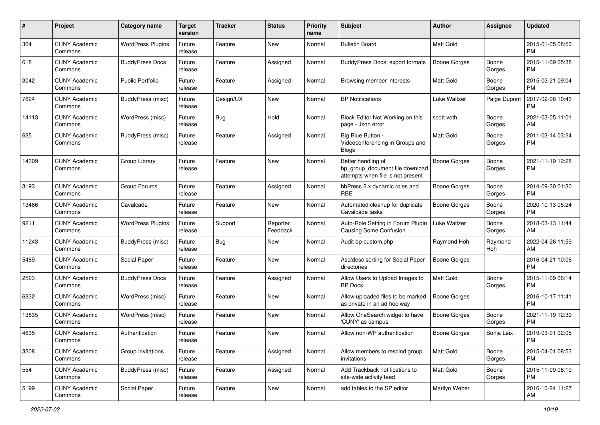| #     | Project                         | <b>Category name</b>     | <b>Target</b><br>version | <b>Tracker</b> | <b>Status</b>        | Priority<br>name | <b>Subject</b>                                                                             | Author              | <b>Assignee</b> | <b>Updated</b>                |
|-------|---------------------------------|--------------------------|--------------------------|----------------|----------------------|------------------|--------------------------------------------------------------------------------------------|---------------------|-----------------|-------------------------------|
| 364   | <b>CUNY Academic</b><br>Commons | <b>WordPress Plugins</b> | Future<br>release        | Feature        | New                  | Normal           | <b>Bulletin Board</b>                                                                      | <b>Matt Gold</b>    |                 | 2015-01-05 08:50<br><b>PM</b> |
| 618   | <b>CUNY Academic</b><br>Commons | <b>BuddyPress Docs</b>   | Future<br>release        | Feature        | Assigned             | Normal           | BuddyPress Docs: export formats                                                            | <b>Boone Gorges</b> | Boone<br>Gorges | 2015-11-09 05:38<br><b>PM</b> |
| 3042  | <b>CUNY Academic</b><br>Commons | <b>Public Portfolio</b>  | Future<br>release        | Feature        | Assigned             | Normal           | Browsing member interests                                                                  | Matt Gold           | Boone<br>Gorges | 2015-03-21 09:04<br><b>PM</b> |
| 7624  | <b>CUNY Academic</b><br>Commons | BuddyPress (misc)        | Future<br>release        | Design/UX      | New                  | Normal           | <b>BP Notifications</b>                                                                    | Luke Waltzer        | Paige Dupont    | 2017-02-08 10:43<br><b>PM</b> |
| 14113 | CUNY Academic<br>Commons        | WordPress (misc)         | Future<br>release        | Bug            | Hold                 | Normal           | Block Editor Not Working on this<br>page - Json error                                      | scott voth          | Boone<br>Gorges | 2021-03-05 11:01<br>AM        |
| 635   | <b>CUNY Academic</b><br>Commons | <b>BuddyPress (misc)</b> | Future<br>release        | Feature        | Assigned             | Normal           | Big Blue Button -<br>Videoconferencing in Groups and<br><b>Blogs</b>                       | Matt Gold           | Boone<br>Gorges | 2011-03-14 03:24<br><b>PM</b> |
| 14309 | <b>CUNY Academic</b><br>Commons | Group Library            | Future<br>release        | Feature        | New                  | Normal           | Better handling of<br>bp group document file download<br>attempts when file is not present | <b>Boone Gorges</b> | Boone<br>Gorges | 2021-11-19 12:28<br><b>PM</b> |
| 3193  | <b>CUNY Academic</b><br>Commons | Group Forums             | Future<br>release        | Feature        | Assigned             | Normal           | bbPress 2.x dynamic roles and<br><b>RBE</b>                                                | Boone Gorges        | Boone<br>Gorges | 2014-09-30 01:30<br><b>PM</b> |
| 13466 | <b>CUNY Academic</b><br>Commons | Cavalcade                | Future<br>release        | Feature        | New                  | Normal           | Automated cleanup for duplicate<br>Cavalcade tasks                                         | <b>Boone Gorges</b> | Boone<br>Gorges | 2020-10-13 05:24<br><b>PM</b> |
| 9211  | <b>CUNY Academic</b><br>Commons | <b>WordPress Plugins</b> | Future<br>release        | Support        | Reporter<br>Feedback | Normal           | Auto-Role Setting in Forum Plugin<br>Causing Some Confusion                                | Luke Waltzer        | Boone<br>Gorges | 2018-03-13 11:44<br>AM        |
| 11243 | CUNY Academic<br>Commons        | <b>BuddyPress (misc)</b> | Future<br>release        | Bug            | New                  | Normal           | Audit bp-custom.php                                                                        | Raymond Hoh         | Raymond<br>Hoh  | 2022-04-26 11:59<br>AM        |
| 5489  | <b>CUNY Academic</b><br>Commons | Social Paper             | Future<br>release        | Feature        | New                  | Normal           | Asc/desc sorting for Social Paper<br>directories                                           | Boone Gorges        |                 | 2016-04-21 10:06<br><b>PM</b> |
| 2523  | CUNY Academic<br>Commons        | <b>BuddyPress Docs</b>   | Future<br>release        | Feature        | Assigned             | Normal           | Allow Users to Upload Images to<br><b>BP</b> Docs                                          | Matt Gold           | Boone<br>Gorges | 2015-11-09 06:14<br><b>PM</b> |
| 6332  | <b>CUNY Academic</b><br>Commons | WordPress (misc)         | Future<br>release        | Feature        | New                  | Normal           | Allow uploaded files to be marked<br>as private in an ad hoc way                           | Boone Gorges        |                 | 2016-10-17 11:41<br><b>PM</b> |
| 13835 | <b>CUNY Academic</b><br>Commons | WordPress (misc)         | Future<br>release        | Feature        | New                  | Normal           | Allow OneSearch widget to have<br>'CUNY' as campus                                         | Boone Gorges        | Boone<br>Gorges | 2021-11-19 12:39<br><b>PM</b> |
| 4635  | <b>CUNY Academic</b><br>Commons | Authentication           | Future<br>release        | Feature        | New                  | Normal           | Allow non-WP authentication                                                                | <b>Boone Gorges</b> | Sonja Leix      | 2019-03-01 02:05<br>PM        |
| 3308  | <b>CUNY Academic</b><br>Commons | Group Invitations        | Future<br>release        | Feature        | Assigned             | Normal           | Allow members to rescind group<br>invitations                                              | Matt Gold           | Boone<br>Gorges | 2015-04-01 08:53<br>PM        |
| 554   | <b>CUNY Academic</b><br>Commons | BuddyPress (misc)        | Future<br>release        | Feature        | Assigned             | Normal           | Add Trackback notifications to<br>site-wide activity feed                                  | Matt Gold           | Boone<br>Gorges | 2015-11-09 06:19<br><b>PM</b> |
| 5199  | <b>CUNY Academic</b><br>Commons | Social Paper             | Future<br>release        | Feature        | New                  | Normal           | add tables to the SP editor                                                                | Marilyn Weber       |                 | 2016-10-24 11:27<br>AM        |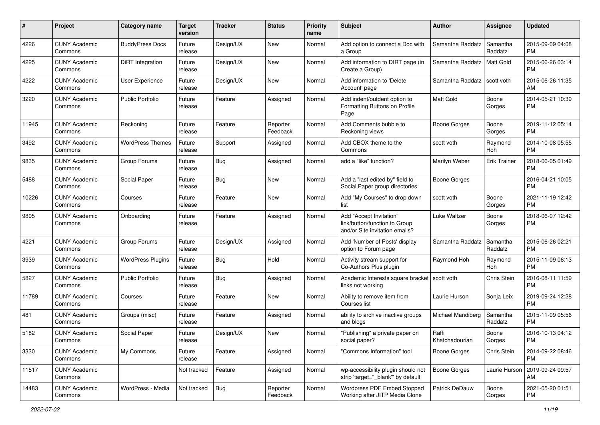| #     | Project                         | <b>Category name</b>     | <b>Target</b><br>version | <b>Tracker</b> | <b>Status</b>        | <b>Priority</b><br>name | Subject                                                                                    | Author                  | <b>Assignee</b>     | <b>Updated</b>                |
|-------|---------------------------------|--------------------------|--------------------------|----------------|----------------------|-------------------------|--------------------------------------------------------------------------------------------|-------------------------|---------------------|-------------------------------|
| 4226  | <b>CUNY Academic</b><br>Commons | <b>BuddyPress Docs</b>   | Future<br>release        | Design/UX      | <b>New</b>           | Normal                  | Add option to connect a Doc with<br>a Group                                                | Samantha Raddatz        | Samantha<br>Raddatz | 2015-09-09 04:08<br><b>PM</b> |
| 4225  | <b>CUNY Academic</b><br>Commons | DiRT Integration         | Future<br>release        | Design/UX      | New                  | Normal                  | Add information to DIRT page (in<br>Create a Group)                                        | Samantha Raddatz        | <b>Matt Gold</b>    | 2015-06-26 03:14<br><b>PM</b> |
| 4222  | <b>CUNY Academic</b><br>Commons | <b>User Experience</b>   | Future<br>release        | Design/UX      | <b>New</b>           | Normal                  | Add information to 'Delete<br>Account' page                                                | Samantha Raddatz        | scott voth          | 2015-06-26 11:35<br>AM        |
| 3220  | <b>CUNY Academic</b><br>Commons | <b>Public Portfolio</b>  | Future<br>release        | Feature        | Assigned             | Normal                  | Add indent/outdent option to<br>Formatting Buttons on Profile<br>Page                      | <b>Matt Gold</b>        | Boone<br>Gorges     | 2014-05-21 10:39<br>PM        |
| 11945 | <b>CUNY Academic</b><br>Commons | Reckoning                | Future<br>release        | Feature        | Reporter<br>Feedback | Normal                  | Add Comments bubble to<br>Reckoning views                                                  | <b>Boone Gorges</b>     | Boone<br>Gorges     | 2019-11-12 05:14<br><b>PM</b> |
| 3492  | <b>CUNY Academic</b><br>Commons | <b>WordPress Themes</b>  | Future<br>release        | Support        | Assigned             | Normal                  | Add CBOX theme to the<br>Commons                                                           | scott voth              | Raymond<br>Hoh      | 2014-10-08 05:55<br><b>PM</b> |
| 9835  | <b>CUNY Academic</b><br>Commons | Group Forums             | Future<br>release        | Bug            | Assigned             | Normal                  | add a "like" function?                                                                     | Marilyn Weber           | <b>Erik Trainer</b> | 2018-06-05 01:49<br><b>PM</b> |
| 5488  | <b>CUNY Academic</b><br>Commons | Social Paper             | Future<br>release        | Bug            | New                  | Normal                  | Add a "last edited by" field to<br>Social Paper group directories                          | Boone Gorges            |                     | 2016-04-21 10:05<br><b>PM</b> |
| 10226 | <b>CUNY Academic</b><br>Commons | Courses                  | Future<br>release        | Feature        | <b>New</b>           | Normal                  | Add "My Courses" to drop down<br>list                                                      | scott voth              | Boone<br>Gorges     | 2021-11-19 12:42<br><b>PM</b> |
| 9895  | <b>CUNY Academic</b><br>Commons | Onboarding               | Future<br>release        | Feature        | Assigned             | Normal                  | Add "Accept Invitation"<br>link/button/function to Group<br>and/or Site invitation emails? | Luke Waltzer            | Boone<br>Gorges     | 2018-06-07 12:42<br><b>PM</b> |
| 4221  | <b>CUNY Academic</b><br>Commons | Group Forums             | Future<br>release        | Design/UX      | Assigned             | Normal                  | Add 'Number of Posts' display<br>option to Forum page                                      | Samantha Raddatz        | Samantha<br>Raddatz | 2015-06-26 02:21<br><b>PM</b> |
| 3939  | <b>CUNY Academic</b><br>Commons | <b>WordPress Plugins</b> | Future<br>release        | Bug            | Hold                 | Normal                  | Activity stream support for<br>Co-Authors Plus plugin                                      | Raymond Hoh             | Raymond<br>Hoh      | 2015-11-09 06:13<br><b>PM</b> |
| 5827  | <b>CUNY Academic</b><br>Commons | Public Portfolio         | Future<br>release        | Bug            | Assigned             | Normal                  | Academic Interests square bracket<br>links not working                                     | scott voth              | Chris Stein         | 2016-08-11 11:59<br><b>PM</b> |
| 11789 | <b>CUNY Academic</b><br>Commons | Courses                  | Future<br>release        | Feature        | <b>New</b>           | Normal                  | Ability to remove item from<br>Courses list                                                | Laurie Hurson           | Sonja Leix          | 2019-09-24 12:28<br><b>PM</b> |
| 481   | <b>CUNY Academic</b><br>Commons | Groups (misc)            | Future<br>release        | Feature        | Assigned             | Normal                  | ability to archive inactive groups<br>and blogs                                            | Michael Mandiberg       | Samantha<br>Raddatz | 2015-11-09 05:56<br><b>PM</b> |
| 5182  | <b>CUNY Academic</b><br>Commons | Social Paper             | Future<br>release        | Design/UX      | New                  | Normal                  | "Publishing" a private paper on<br>social paper?                                           | Raffi<br>Khatchadourian | Boone<br>Gorges     | 2016-10-13 04:12<br><b>PM</b> |
| 3330  | <b>CUNY Academic</b><br>Commons | My Commons               | Future<br>release        | Feature        | Assigned             | Normal                  | "Commons Information" tool                                                                 | <b>Boone Gorges</b>     | Chris Stein         | 2014-09-22 08:46<br><b>PM</b> |
| 11517 | <b>CUNY Academic</b><br>Commons |                          | Not tracked              | Feature        | Assigned             | Normal                  | wp-accessibility plugin should not<br>strip 'target="_blank"' by default                   | <b>Boone Gorges</b>     | Laurie Hurson       | 2019-09-24 09:57<br>AM        |
| 14483 | <b>CUNY Academic</b><br>Commons | WordPress - Media        | Not tracked              | Bug            | Reporter<br>Feedback | Normal                  | Wordpress PDF Embed Stopped<br>Working after JITP Media Clone                              | Patrick DeDauw          | Boone<br>Gorges     | 2021-05-20 01:51<br><b>PM</b> |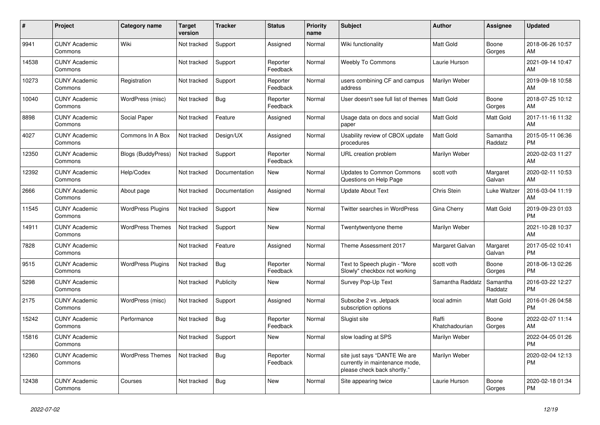| #     | <b>Project</b>                  | Category name             | <b>Target</b><br>version | <b>Tracker</b> | <b>Status</b>        | Priority<br>name | <b>Subject</b>                                                                                | <b>Author</b>           | Assignee            | <b>Updated</b>                |
|-------|---------------------------------|---------------------------|--------------------------|----------------|----------------------|------------------|-----------------------------------------------------------------------------------------------|-------------------------|---------------------|-------------------------------|
| 9941  | <b>CUNY Academic</b><br>Commons | Wiki                      | Not tracked              | Support        | Assigned             | Normal           | Wiki functionality                                                                            | <b>Matt Gold</b>        | Boone<br>Gorges     | 2018-06-26 10:57<br>AM        |
| 14538 | <b>CUNY Academic</b><br>Commons |                           | Not tracked              | Support        | Reporter<br>Feedback | Normal           | <b>Weebly To Commons</b>                                                                      | Laurie Hurson           |                     | 2021-09-14 10:47<br>AM        |
| 10273 | <b>CUNY Academic</b><br>Commons | Registration              | Not tracked              | Support        | Reporter<br>Feedback | Normal           | users combining CF and campus<br>address                                                      | Marilyn Weber           |                     | 2019-09-18 10:58<br>AM        |
| 10040 | <b>CUNY Academic</b><br>Commons | WordPress (misc)          | Not tracked              | Bug            | Reporter<br>Feedback | Normal           | User doesn't see full list of themes                                                          | <b>Matt Gold</b>        | Boone<br>Gorges     | 2018-07-25 10:12<br>AM        |
| 8898  | <b>CUNY Academic</b><br>Commons | Social Paper              | Not tracked              | Feature        | Assigned             | Normal           | Usage data on docs and social<br>paper                                                        | Matt Gold               | Matt Gold           | 2017-11-16 11:32<br>AM        |
| 4027  | <b>CUNY Academic</b><br>Commons | Commons In A Box          | Not tracked              | Design/UX      | Assigned             | Normal           | Usability review of CBOX update<br>procedures                                                 | <b>Matt Gold</b>        | Samantha<br>Raddatz | 2015-05-11 06:36<br><b>PM</b> |
| 12350 | <b>CUNY Academic</b><br>Commons | <b>Blogs (BuddyPress)</b> | Not tracked              | Support        | Reporter<br>Feedback | Normal           | URL creation problem                                                                          | Marilyn Weber           |                     | 2020-02-03 11:27<br>AM        |
| 12392 | <b>CUNY Academic</b><br>Commons | Help/Codex                | Not tracked              | Documentation  | New                  | Normal           | <b>Updates to Common Commons</b><br>Questions on Help Page                                    | scott voth              | Margaret<br>Galvan  | 2020-02-11 10:53<br>AM        |
| 2666  | <b>CUNY Academic</b><br>Commons | About page                | Not tracked              | Documentation  | Assigned             | Normal           | <b>Update About Text</b>                                                                      | Chris Stein             | Luke Waltzer        | 2016-03-04 11:19<br>AM        |
| 11545 | <b>CUNY Academic</b><br>Commons | <b>WordPress Plugins</b>  | Not tracked              | Support        | New                  | Normal           | Twitter searches in WordPress                                                                 | Gina Cherry             | Matt Gold           | 2019-09-23 01:03<br><b>PM</b> |
| 14911 | <b>CUNY Academic</b><br>Commons | <b>WordPress Themes</b>   | Not tracked              | Support        | <b>New</b>           | Normal           | Twentytwentyone theme                                                                         | Marilyn Weber           |                     | 2021-10-28 10:37<br>AM        |
| 7828  | <b>CUNY Academic</b><br>Commons |                           | Not tracked              | Feature        | Assigned             | Normal           | Theme Assessment 2017                                                                         | Margaret Galvan         | Margaret<br>Galvan  | 2017-05-02 10:41<br><b>PM</b> |
| 9515  | <b>CUNY Academic</b><br>Commons | <b>WordPress Plugins</b>  | Not tracked              | <b>Bug</b>     | Reporter<br>Feedback | Normal           | Text to Speech plugin - "More<br>Slowly" checkbox not working                                 | scott voth              | Boone<br>Gorges     | 2018-06-13 02:26<br><b>PM</b> |
| 5298  | <b>CUNY Academic</b><br>Commons |                           | Not tracked              | Publicity      | <b>New</b>           | Normal           | Survey Pop-Up Text                                                                            | Samantha Raddatz        | Samantha<br>Raddatz | 2016-03-22 12:27<br><b>PM</b> |
| 2175  | <b>CUNY Academic</b><br>Commons | WordPress (misc)          | Not tracked              | Support        | Assigned             | Normal           | Subscibe 2 vs. Jetpack<br>subscription options                                                | local admin             | Matt Gold           | 2016-01-26 04:58<br><b>PM</b> |
| 15242 | <b>CUNY Academic</b><br>Commons | Performance               | Not tracked              | Bug            | Reporter<br>Feedback | Normal           | Slugist site                                                                                  | Raffi<br>Khatchadourian | Boone<br>Gorges     | 2022-02-07 11:14<br>AM        |
| 15816 | <b>CUNY Academic</b><br>Commons |                           | Not tracked              | Support        | <b>New</b>           | Normal           | slow loading at SPS                                                                           | Marilyn Weber           |                     | 2022-04-05 01:26<br><b>PM</b> |
| 12360 | <b>CUNY Academic</b><br>Commons | <b>WordPress Themes</b>   | Not tracked              | Bug            | Reporter<br>Feedback | Normal           | site just says "DANTE We are<br>currently in maintenance mode,<br>please check back shortly." | Marilyn Weber           |                     | 2020-02-04 12:13<br><b>PM</b> |
| 12438 | <b>CUNY Academic</b><br>Commons | Courses                   | Not tracked              | <b>Bug</b>     | <b>New</b>           | Normal           | Site appearing twice                                                                          | Laurie Hurson           | Boone<br>Gorges     | 2020-02-18 01:34<br><b>PM</b> |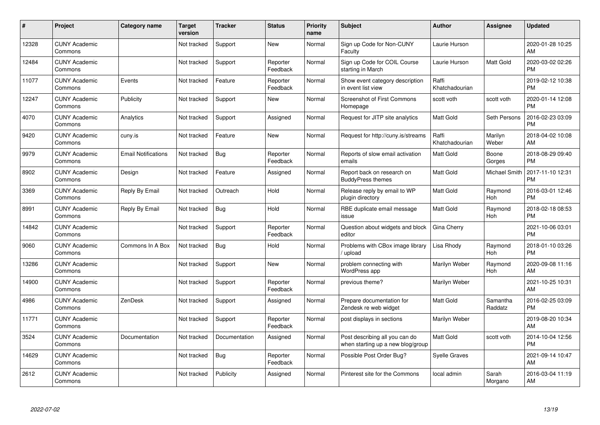| #     | Project                         | <b>Category name</b>       | Target<br>version | <b>Tracker</b> | <b>Status</b>        | Priority<br>name | <b>Subject</b>                                                      | <b>Author</b>           | Assignee            | <b>Updated</b>                |
|-------|---------------------------------|----------------------------|-------------------|----------------|----------------------|------------------|---------------------------------------------------------------------|-------------------------|---------------------|-------------------------------|
| 12328 | <b>CUNY Academic</b><br>Commons |                            | Not tracked       | Support        | <b>New</b>           | Normal           | Sign up Code for Non-CUNY<br>Faculty                                | Laurie Hurson           |                     | 2020-01-28 10:25<br><b>AM</b> |
| 12484 | <b>CUNY Academic</b><br>Commons |                            | Not tracked       | Support        | Reporter<br>Feedback | Normal           | Sign up Code for COIL Course<br>starting in March                   | Laurie Hurson           | Matt Gold           | 2020-03-02 02:26<br><b>PM</b> |
| 11077 | <b>CUNY Academic</b><br>Commons | Events                     | Not tracked       | Feature        | Reporter<br>Feedback | Normal           | Show event category description<br>in event list view               | Raffi<br>Khatchadourian |                     | 2019-02-12 10:38<br><b>PM</b> |
| 12247 | <b>CUNY Academic</b><br>Commons | Publicity                  | Not tracked       | Support        | <b>New</b>           | Normal           | <b>Screenshot of First Commons</b><br>Homepage                      | scott voth              | scott voth          | 2020-01-14 12:08<br><b>PM</b> |
| 4070  | <b>CUNY Academic</b><br>Commons | Analytics                  | Not tracked       | Support        | Assigned             | Normal           | Request for JITP site analytics                                     | Matt Gold               | Seth Persons        | 2016-02-23 03:09<br><b>PM</b> |
| 9420  | <b>CUNY Academic</b><br>Commons | cuny.is                    | Not tracked       | Feature        | <b>New</b>           | Normal           | Request for http://cuny.is/streams                                  | Raffi<br>Khatchadourian | Marilyn<br>Weber    | 2018-04-02 10:08<br>AM.       |
| 9979  | <b>CUNY Academic</b><br>Commons | <b>Email Notifications</b> | Not tracked       | Bug            | Reporter<br>Feedback | Normal           | Reports of slow email activation<br>emails                          | Matt Gold               | Boone<br>Gorges     | 2018-08-29 09:40<br><b>PM</b> |
| 8902  | <b>CUNY Academic</b><br>Commons | Design                     | Not tracked       | Feature        | Assigned             | Normal           | Report back on research on<br><b>BuddyPress themes</b>              | <b>Matt Gold</b>        | Michael Smith       | 2017-11-10 12:31<br><b>PM</b> |
| 3369  | <b>CUNY Academic</b><br>Commons | Reply By Email             | Not tracked       | Outreach       | Hold                 | Normal           | Release reply by email to WP<br>plugin directory                    | <b>Matt Gold</b>        | Raymond<br>Hoh      | 2016-03-01 12:46<br><b>PM</b> |
| 8991  | <b>CUNY Academic</b><br>Commons | Reply By Email             | Not tracked       | Bug            | Hold                 | Normal           | RBE duplicate email message<br>issue                                | <b>Matt Gold</b>        | Raymond<br>Hoh      | 2018-02-18 08:53<br>PM        |
| 14842 | <b>CUNY Academic</b><br>Commons |                            | Not tracked       | Support        | Reporter<br>Feedback | Normal           | Question about widgets and block<br>editor                          | Gina Cherry             |                     | 2021-10-06 03:01<br><b>PM</b> |
| 9060  | <b>CUNY Academic</b><br>Commons | Commons In A Box           | Not tracked       | <b>Bug</b>     | Hold                 | Normal           | Problems with CBox image library<br>upload                          | Lisa Rhody              | Raymond<br>Hoh      | 2018-01-10 03:26<br><b>PM</b> |
| 13286 | <b>CUNY Academic</b><br>Commons |                            | Not tracked       | Support        | <b>New</b>           | Normal           | problem connecting with<br>WordPress app                            | Marilyn Weber           | Raymond<br>Hoh      | 2020-09-08 11:16<br>AM.       |
| 14900 | <b>CUNY Academic</b><br>Commons |                            | Not tracked       | Support        | Reporter<br>Feedback | Normal           | previous theme?                                                     | Marilyn Weber           |                     | 2021-10-25 10:31<br><b>AM</b> |
| 4986  | <b>CUNY Academic</b><br>Commons | ZenDesk                    | Not tracked       | Support        | Assigned             | Normal           | Prepare documentation for<br>Zendesk re web widget                  | Matt Gold               | Samantha<br>Raddatz | 2016-02-25 03:09<br><b>PM</b> |
| 11771 | <b>CUNY Academic</b><br>Commons |                            | Not tracked       | Support        | Reporter<br>Feedback | Normal           | post displays in sections                                           | Marilyn Weber           |                     | 2019-08-20 10:34<br>AM        |
| 3524  | <b>CUNY Academic</b><br>Commons | Documentation              | Not tracked       | Documentation  | Assigned             | Normal           | Post describing all you can do<br>when starting up a new blog/group | <b>Matt Gold</b>        | scott voth          | 2014-10-04 12:56<br><b>PM</b> |
| 14629 | <b>CUNY Academic</b><br>Commons |                            | Not tracked       | Bug            | Reporter<br>Feedback | Normal           | Possible Post Order Bug?                                            | <b>Syelle Graves</b>    |                     | 2021-09-14 10:47<br>AM        |
| 2612  | <b>CUNY Academic</b><br>Commons |                            | Not tracked       | Publicity      | Assigned             | Normal           | Pinterest site for the Commons                                      | local admin             | Sarah<br>Morgano    | 2016-03-04 11:19<br>AM        |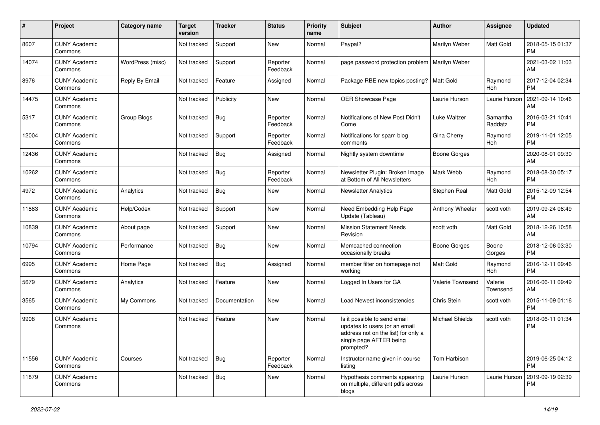| #     | Project                         | <b>Category name</b> | <b>Target</b><br>version | <b>Tracker</b> | <b>Status</b>        | Priority<br>name | <b>Subject</b>                                                                                                                               | Author                 | <b>Assignee</b>     | <b>Updated</b>                |
|-------|---------------------------------|----------------------|--------------------------|----------------|----------------------|------------------|----------------------------------------------------------------------------------------------------------------------------------------------|------------------------|---------------------|-------------------------------|
| 8607  | <b>CUNY Academic</b><br>Commons |                      | Not tracked              | Support        | <b>New</b>           | Normal           | Paypal?                                                                                                                                      | Marilyn Weber          | Matt Gold           | 2018-05-15 01:37<br><b>PM</b> |
| 14074 | <b>CUNY Academic</b><br>Commons | WordPress (misc)     | Not tracked              | Support        | Reporter<br>Feedback | Normal           | page password protection problem                                                                                                             | Marilyn Weber          |                     | 2021-03-02 11:03<br>AM        |
| 8976  | <b>CUNY Academic</b><br>Commons | Reply By Email       | Not tracked              | Feature        | Assigned             | Normal           | Package RBE new topics posting?                                                                                                              | <b>Matt Gold</b>       | Raymond<br>Hoh      | 2017-12-04 02:34<br><b>PM</b> |
| 14475 | <b>CUNY Academic</b><br>Commons |                      | Not tracked              | Publicity      | New                  | Normal           | <b>OER Showcase Page</b>                                                                                                                     | Laurie Hurson          | Laurie Hurson       | 2021-09-14 10:46<br>AM        |
| 5317  | <b>CUNY Academic</b><br>Commons | Group Blogs          | Not tracked              | Bug            | Reporter<br>Feedback | Normal           | Notifications of New Post Didn't<br>Come                                                                                                     | Luke Waltzer           | Samantha<br>Raddatz | 2016-03-21 10:41<br><b>PM</b> |
| 12004 | <b>CUNY Academic</b><br>Commons |                      | Not tracked              | Support        | Reporter<br>Feedback | Normal           | Notifications for spam blog<br>comments                                                                                                      | Gina Cherry            | Raymond<br>Hoh      | 2019-11-01 12:05<br><b>PM</b> |
| 12436 | <b>CUNY Academic</b><br>Commons |                      | Not tracked              | Bug            | Assigned             | Normal           | Nightly system downtime                                                                                                                      | Boone Gorges           |                     | 2020-08-01 09:30<br>AM        |
| 10262 | <b>CUNY Academic</b><br>Commons |                      | Not tracked              | <b>Bug</b>     | Reporter<br>Feedback | Normal           | Newsletter Plugin: Broken Image<br>at Bottom of All Newsletters                                                                              | Mark Webb              | Raymond<br>Hoh      | 2018-08-30 05:17<br><b>PM</b> |
| 4972  | <b>CUNY Academic</b><br>Commons | Analytics            | Not tracked              | Bug            | New                  | Normal           | <b>Newsletter Analytics</b>                                                                                                                  | Stephen Real           | Matt Gold           | 2015-12-09 12:54<br><b>PM</b> |
| 11883 | <b>CUNY Academic</b><br>Commons | Help/Codex           | Not tracked              | Support        | <b>New</b>           | Normal           | Need Embedding Help Page<br>Update (Tableau)                                                                                                 | Anthony Wheeler        | scott voth          | 2019-09-24 08:49<br>AM        |
| 10839 | <b>CUNY Academic</b><br>Commons | About page           | Not tracked              | Support        | <b>New</b>           | Normal           | <b>Mission Statement Needs</b><br>Revision                                                                                                   | scott voth             | Matt Gold           | 2018-12-26 10:58<br>AM        |
| 10794 | <b>CUNY Academic</b><br>Commons | Performance          | Not tracked              | Bug            | <b>New</b>           | Normal           | Memcached connection<br>occasionally breaks                                                                                                  | Boone Gorges           | Boone<br>Gorges     | 2018-12-06 03:30<br><b>PM</b> |
| 6995  | <b>CUNY Academic</b><br>Commons | Home Page            | Not tracked              | Bug            | Assigned             | Normal           | member filter on homepage not<br>working                                                                                                     | <b>Matt Gold</b>       | Raymond<br>Hoh      | 2016-12-11 09:46<br><b>PM</b> |
| 5679  | <b>CUNY Academic</b><br>Commons | Analytics            | Not tracked              | Feature        | New                  | Normal           | Logged In Users for GA                                                                                                                       | Valerie Townsend       | Valerie<br>Townsend | 2016-06-11 09:49<br>AM        |
| 3565  | <b>CUNY Academic</b><br>Commons | My Commons           | Not tracked              | Documentation  | <b>New</b>           | Normal           | Load Newest inconsistencies                                                                                                                  | Chris Stein            | scott voth          | 2015-11-09 01:16<br><b>PM</b> |
| 9908  | <b>CUNY Academic</b><br>Commons |                      | Not tracked              | Feature        | New                  | Normal           | Is it possible to send email<br>updates to users (or an email<br>address not on the list) for only a<br>single page AFTER being<br>prompted? | <b>Michael Shields</b> | scott voth          | 2018-06-11 01:34<br><b>PM</b> |
| 11556 | <b>CUNY Academic</b><br>Commons | Courses              | Not tracked              | Bug            | Reporter<br>Feedback | Normal           | Instructor name given in course<br>listing                                                                                                   | Tom Harbison           |                     | 2019-06-25 04:12<br>PM.       |
| 11879 | <b>CUNY Academic</b><br>Commons |                      | Not tracked              | Bug            | New                  | Normal           | Hypothesis comments appearing<br>on multiple, different pdfs across<br>blogs                                                                 | Laurie Hurson          | Laurie Hurson       | 2019-09-19 02:39<br><b>PM</b> |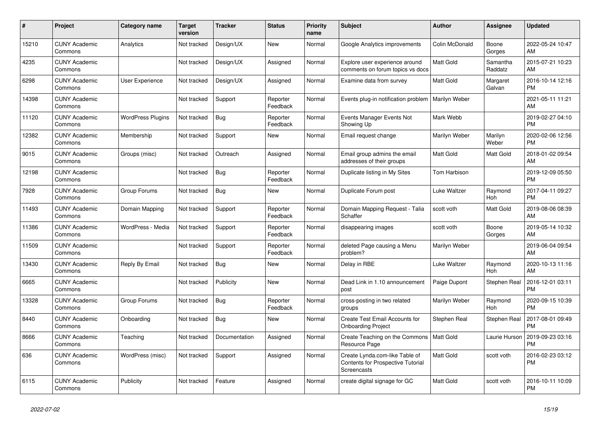| #     | <b>Project</b>                  | Category name            | <b>Target</b><br>version | <b>Tracker</b> | <b>Status</b>        | Priority<br>name | <b>Subject</b>                                                                            | <b>Author</b>    | Assignee            | <b>Updated</b>                |
|-------|---------------------------------|--------------------------|--------------------------|----------------|----------------------|------------------|-------------------------------------------------------------------------------------------|------------------|---------------------|-------------------------------|
| 15210 | <b>CUNY Academic</b><br>Commons | Analytics                | Not tracked              | Design/UX      | <b>New</b>           | Normal           | Google Analytics improvements                                                             | Colin McDonald   | Boone<br>Gorges     | 2022-05-24 10:47<br>AM        |
| 4235  | <b>CUNY Academic</b><br>Commons |                          | Not tracked              | Design/UX      | Assigned             | Normal           | Explore user experience around<br>comments on forum topics vs docs                        | <b>Matt Gold</b> | Samantha<br>Raddatz | 2015-07-21 10:23<br>AM        |
| 6298  | <b>CUNY Academic</b><br>Commons | User Experience          | Not tracked              | Design/UX      | Assigned             | Normal           | Examine data from survey                                                                  | <b>Matt Gold</b> | Margaret<br>Galvan  | 2016-10-14 12:16<br><b>PM</b> |
| 14398 | <b>CUNY Academic</b><br>Commons |                          | Not tracked              | Support        | Reporter<br>Feedback | Normal           | Events plug-in notification problem                                                       | Marilyn Weber    |                     | 2021-05-11 11:21<br>AM        |
| 11120 | <b>CUNY Academic</b><br>Commons | <b>WordPress Plugins</b> | Not tracked              | Bug            | Reporter<br>Feedback | Normal           | Events Manager Events Not<br>Showing Up                                                   | Mark Webb        |                     | 2019-02-27 04:10<br><b>PM</b> |
| 12382 | <b>CUNY Academic</b><br>Commons | Membership               | Not tracked              | Support        | New                  | Normal           | Email request change                                                                      | Marilyn Weber    | Marilyn<br>Weber    | 2020-02-06 12:56<br><b>PM</b> |
| 9015  | <b>CUNY Academic</b><br>Commons | Groups (misc)            | Not tracked              | Outreach       | Assigned             | Normal           | Email group admins the email<br>addresses of their groups                                 | <b>Matt Gold</b> | <b>Matt Gold</b>    | 2018-01-02 09:54<br>AM        |
| 12198 | <b>CUNY Academic</b><br>Commons |                          | Not tracked              | <b>Bug</b>     | Reporter<br>Feedback | Normal           | Duplicate listing in My Sites                                                             | Tom Harbison     |                     | 2019-12-09 05:50<br><b>PM</b> |
| 7928  | <b>CUNY Academic</b><br>Commons | Group Forums             | Not tracked              | Bug            | <b>New</b>           | Normal           | Duplicate Forum post                                                                      | Luke Waltzer     | Raymond<br>Hoh      | 2017-04-11 09:27<br><b>PM</b> |
| 11493 | <b>CUNY Academic</b><br>Commons | Domain Mapping           | Not tracked              | Support        | Reporter<br>Feedback | Normal           | Domain Mapping Request - Talia<br>Schaffer                                                | scott voth       | <b>Matt Gold</b>    | 2019-08-06 08:39<br>AM        |
| 11386 | <b>CUNY Academic</b><br>Commons | WordPress - Media        | Not tracked              | Support        | Reporter<br>Feedback | Normal           | disappearing images                                                                       | scott voth       | Boone<br>Gorges     | 2019-05-14 10:32<br>AM        |
| 11509 | <b>CUNY Academic</b><br>Commons |                          | Not tracked              | Support        | Reporter<br>Feedback | Normal           | deleted Page causing a Menu<br>problem?                                                   | Marilyn Weber    |                     | 2019-06-04 09:54<br>AM        |
| 13430 | <b>CUNY Academic</b><br>Commons | Reply By Email           | Not tracked              | <b>Bug</b>     | New                  | Normal           | Delay in RBE                                                                              | Luke Waltzer     | Raymond<br>Hoh      | 2020-10-13 11:16<br>AM        |
| 6665  | <b>CUNY Academic</b><br>Commons |                          | Not tracked              | Publicity      | <b>New</b>           | Normal           | Dead Link in 1.10 announcement<br>post                                                    | Paige Dupont     | <b>Stephen Real</b> | 2016-12-01 03:11<br><b>PM</b> |
| 13328 | <b>CUNY Academic</b><br>Commons | Group Forums             | Not tracked              | <b>Bug</b>     | Reporter<br>Feedback | Normal           | cross-posting in two related<br>groups                                                    | Marilyn Weber    | Raymond<br>Hoh      | 2020-09-15 10:39<br><b>PM</b> |
| 8440  | <b>CUNY Academic</b><br>Commons | Onboarding               | Not tracked              | <b>Bug</b>     | <b>New</b>           | Normal           | Create Test Email Accounts for<br><b>Onboarding Project</b>                               | Stephen Real     | Stephen Real        | 2017-08-01 09:49<br><b>PM</b> |
| 8666  | <b>CUNY Academic</b><br>Commons | Teaching                 | Not tracked              | Documentation  | Assigned             | Normal           | Create Teaching on the Commons<br>Resource Page                                           | <b>Matt Gold</b> | Laurie Hurson       | 2019-09-23 03:16<br>PM        |
| 636   | <b>CUNY Academic</b><br>Commons | WordPress (misc)         | Not tracked              | Support        | Assigned             | Normal           | Create Lynda.com-like Table of<br><b>Contents for Prospective Tutorial</b><br>Screencasts | Matt Gold        | scott voth          | 2016-02-23 03:12<br><b>PM</b> |
| 6115  | <b>CUNY Academic</b><br>Commons | Publicity                | Not tracked              | Feature        | Assigned             | Normal           | create digital signage for GC                                                             | <b>Matt Gold</b> | scott voth          | 2016-10-11 10:09<br><b>PM</b> |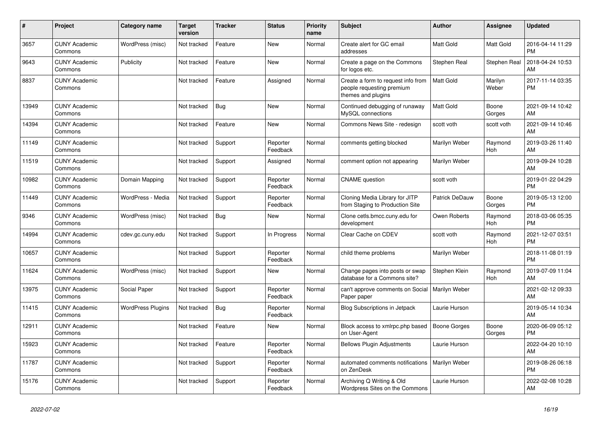| $\vert$ # | <b>Project</b>                  | Category name            | <b>Target</b><br>version | <b>Tracker</b> | <b>Status</b>        | <b>Priority</b><br>name | <b>Subject</b>                                                                        | <b>Author</b>       | Assignee         | <b>Updated</b>                |
|-----------|---------------------------------|--------------------------|--------------------------|----------------|----------------------|-------------------------|---------------------------------------------------------------------------------------|---------------------|------------------|-------------------------------|
| 3657      | <b>CUNY Academic</b><br>Commons | WordPress (misc)         | Not tracked              | Feature        | <b>New</b>           | Normal                  | Create alert for GC email<br>addresses                                                | <b>Matt Gold</b>    | Matt Gold        | 2016-04-14 11:29<br><b>PM</b> |
| 9643      | <b>CUNY Academic</b><br>Commons | Publicity                | Not tracked              | Feature        | <b>New</b>           | Normal                  | Create a page on the Commons<br>for logos etc.                                        | Stephen Real        | Stephen Real     | 2018-04-24 10:53<br>AM        |
| 8837      | <b>CUNY Academic</b><br>Commons |                          | Not tracked              | Feature        | Assigned             | Normal                  | Create a form to request info from<br>people requesting premium<br>themes and plugins | <b>Matt Gold</b>    | Marilyn<br>Weber | 2017-11-14 03:35<br><b>PM</b> |
| 13949     | <b>CUNY Academic</b><br>Commons |                          | Not tracked              | <b>Bug</b>     | <b>New</b>           | Normal                  | Continued debugging of runaway<br>MySQL connections                                   | <b>Matt Gold</b>    | Boone<br>Gorges  | 2021-09-14 10:42<br>AM        |
| 14394     | <b>CUNY Academic</b><br>Commons |                          | Not tracked              | Feature        | New                  | Normal                  | Commons News Site - redesign                                                          | scott voth          | scott voth       | 2021-09-14 10:46<br>AM        |
| 11149     | <b>CUNY Academic</b><br>Commons |                          | Not tracked              | Support        | Reporter<br>Feedback | Normal                  | comments getting blocked                                                              | Marilyn Weber       | Raymond<br>Hoh   | 2019-03-26 11:40<br>AM        |
| 11519     | <b>CUNY Academic</b><br>Commons |                          | Not tracked              | Support        | Assigned             | Normal                  | comment option not appearing                                                          | Marilyn Weber       |                  | 2019-09-24 10:28<br>AM        |
| 10982     | <b>CUNY Academic</b><br>Commons | Domain Mapping           | Not tracked              | Support        | Reporter<br>Feedback | Normal                  | <b>CNAME</b> question                                                                 | scott voth          |                  | 2019-01-22 04:29<br><b>PM</b> |
| 11449     | <b>CUNY Academic</b><br>Commons | WordPress - Media        | Not tracked              | Support        | Reporter<br>Feedback | Normal                  | Cloning Media Library for JITP<br>from Staging to Production Site                     | Patrick DeDauw      | Boone<br>Gorges  | 2019-05-13 12:00<br><b>PM</b> |
| 9346      | <b>CUNY Academic</b><br>Commons | WordPress (misc)         | Not tracked              | Bug            | <b>New</b>           | Normal                  | Clone cetls.bmcc.cuny.edu for<br>development                                          | Owen Roberts        | Raymond<br>Hoh   | 2018-03-06 05:35<br><b>PM</b> |
| 14994     | <b>CUNY Academic</b><br>Commons | cdev.gc.cuny.edu         | Not tracked              | Support        | In Progress          | Normal                  | Clear Cache on CDEV                                                                   | scott voth          | Raymond<br>Hoh   | 2021-12-07 03:51<br><b>PM</b> |
| 10657     | <b>CUNY Academic</b><br>Commons |                          | Not tracked              | Support        | Reporter<br>Feedback | Normal                  | child theme problems                                                                  | Marilyn Weber       |                  | 2018-11-08 01:19<br><b>PM</b> |
| 11624     | <b>CUNY Academic</b><br>Commons | WordPress (misc)         | Not tracked              | Support        | <b>New</b>           | Normal                  | Change pages into posts or swap<br>database for a Commons site?                       | Stephen Klein       | Raymond<br>Hoh   | 2019-07-09 11:04<br>AM        |
| 13975     | <b>CUNY Academic</b><br>Commons | Social Paper             | Not tracked              | Support        | Reporter<br>Feedback | Normal                  | can't approve comments on Social<br>Paper paper                                       | Marilyn Weber       |                  | 2021-02-12 09:33<br>AM        |
| 11415     | <b>CUNY Academic</b><br>Commons | <b>WordPress Plugins</b> | Not tracked              | Bug            | Reporter<br>Feedback | Normal                  | <b>Blog Subscriptions in Jetpack</b>                                                  | Laurie Hurson       |                  | 2019-05-14 10:34<br>AM        |
| 12911     | <b>CUNY Academic</b><br>Commons |                          | Not tracked              | Feature        | <b>New</b>           | Normal                  | Block access to xmlrpc.php based<br>on User-Agent                                     | <b>Boone Gorges</b> | Boone<br>Gorges  | 2020-06-09 05:12<br><b>PM</b> |
| 15923     | <b>CUNY Academic</b><br>Commons |                          | Not tracked              | Feature        | Reporter<br>Feedback | Normal                  | <b>Bellows Plugin Adjustments</b>                                                     | Laurie Hurson       |                  | 2022-04-20 10:10<br>AM        |
| 11787     | <b>CUNY Academic</b><br>Commons |                          | Not tracked              | Support        | Reporter<br>Feedback | Normal                  | automated comments notifications<br>on ZenDesk                                        | Marilyn Weber       |                  | 2019-08-26 06:18<br><b>PM</b> |
| 15176     | <b>CUNY Academic</b><br>Commons |                          | Not tracked              | Support        | Reporter<br>Feedback | Normal                  | Archiving Q Writing & Old<br>Wordpress Sites on the Commons                           | Laurie Hurson       |                  | 2022-02-08 10:28<br>AM        |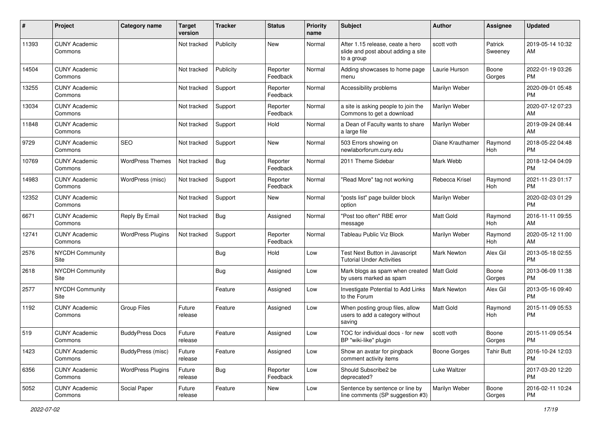| #     | Project                         | <b>Category name</b>     | Target<br>version | <b>Tracker</b> | <b>Status</b>        | <b>Priority</b><br>name | <b>Subject</b>                                                                       | <b>Author</b>    | <b>Assignee</b>    | <b>Updated</b>                |
|-------|---------------------------------|--------------------------|-------------------|----------------|----------------------|-------------------------|--------------------------------------------------------------------------------------|------------------|--------------------|-------------------------------|
| 11393 | <b>CUNY Academic</b><br>Commons |                          | Not tracked       | Publicity      | <b>New</b>           | Normal                  | After 1.15 release, ceate a hero<br>slide and post about adding a site<br>to a group | scott voth       | Patrick<br>Sweeney | 2019-05-14 10:32<br>AM        |
| 14504 | <b>CUNY Academic</b><br>Commons |                          | Not tracked       | Publicity      | Reporter<br>Feedback | Normal                  | Adding showcases to home page<br>menu                                                | Laurie Hurson    | Boone<br>Gorges    | 2022-01-19 03:26<br>PM        |
| 13255 | <b>CUNY Academic</b><br>Commons |                          | Not tracked       | Support        | Reporter<br>Feedback | Normal                  | Accessibility problems                                                               | Marilyn Weber    |                    | 2020-09-01 05:48<br><b>PM</b> |
| 13034 | <b>CUNY Academic</b><br>Commons |                          | Not tracked       | Support        | Reporter<br>Feedback | Normal                  | a site is asking people to join the<br>Commons to get a download                     | Marilyn Weber    |                    | 2020-07-12 07:23<br>AM        |
| 11848 | <b>CUNY Academic</b><br>Commons |                          | Not tracked       | Support        | Hold                 | Normal                  | a Dean of Faculty wants to share<br>a large file                                     | Marilyn Weber    |                    | 2019-09-24 08:44<br>AM        |
| 9729  | <b>CUNY Academic</b><br>Commons | <b>SEO</b>               | Not tracked       | Support        | New                  | Normal                  | 503 Errors showing on<br>newlaborforum.cuny.edu                                      | Diane Krauthamer | Raymond<br>Hoh     | 2018-05-22 04:48<br><b>PM</b> |
| 10769 | <b>CUNY Academic</b><br>Commons | <b>WordPress Themes</b>  | Not tracked       | Bug            | Reporter<br>Feedback | Normal                  | 2011 Theme Sidebar                                                                   | Mark Webb        |                    | 2018-12-04 04:09<br><b>PM</b> |
| 14983 | <b>CUNY Academic</b><br>Commons | WordPress (misc)         | Not tracked       | Support        | Reporter<br>Feedback | Normal                  | "Read More" tag not working                                                          | Rebecca Krisel   | Raymond<br>Hoh     | 2021-11-23 01:17<br><b>PM</b> |
| 12352 | <b>CUNY Academic</b><br>Commons |                          | Not tracked       | Support        | New                  | Normal                  | "posts list" page builder block<br>option                                            | Marilyn Weber    |                    | 2020-02-03 01:29<br><b>PM</b> |
| 6671  | <b>CUNY Academic</b><br>Commons | Reply By Email           | Not tracked       | Bug            | Assigned             | Normal                  | "Post too often" RBE error<br>message                                                | <b>Matt Gold</b> | Raymond<br>Hoh     | 2016-11-11 09:55<br>AM        |
| 12741 | <b>CUNY Academic</b><br>Commons | <b>WordPress Plugins</b> | Not tracked       | Support        | Reporter<br>Feedback | Normal                  | <b>Tableau Public Viz Block</b>                                                      | Marilyn Weber    | Raymond<br>Hoh     | 2020-05-12 11:00<br>AM        |
| 2576  | <b>NYCDH Community</b><br>Site  |                          |                   | Bug            | Hold                 | Low                     | Test Next Button in Javascript<br><b>Tutorial Under Activities</b>                   | Mark Newton      | Alex Gil           | 2013-05-18 02:55<br><b>PM</b> |
| 2618  | <b>NYCDH Community</b><br>Site  |                          |                   | Bug            | Assigned             | Low                     | Mark blogs as spam when created<br>by users marked as spam                           | Matt Gold        | Boone<br>Gorges    | 2013-06-09 11:38<br><b>PM</b> |
| 2577  | <b>NYCDH Community</b><br>Site  |                          |                   | Feature        | Assigned             | Low                     | Investigate Potential to Add Links<br>to the Forum                                   | Mark Newton      | Alex Gil           | 2013-05-16 09:40<br><b>PM</b> |
| 1192  | <b>CUNY Academic</b><br>Commons | <b>Group Files</b>       | Future<br>release | Feature        | Assigned             | Low                     | When posting group files, allow<br>users to add a category without<br>saving         | <b>Matt Gold</b> | Raymond<br>Hoh     | 2015-11-09 05:53<br><b>PM</b> |
| 519   | <b>CUNY Academic</b><br>Commons | <b>BuddyPress Docs</b>   | Future<br>release | Feature        | Assigned             | Low                     | TOC for individual docs - for new<br>BP "wiki-like" plugin                           | scott voth       | Boone<br>Gorges    | 2015-11-09 05:54<br>PM        |
| 1423  | <b>CUNY Academic</b><br>Commons | BuddyPress (misc)        | Future<br>release | Feature        | Assigned             | Low                     | Show an avatar for pingback<br>comment activity items                                | Boone Gorges     | <b>Tahir Butt</b>  | 2016-10-24 12:03<br><b>PM</b> |
| 6356  | <b>CUNY Academic</b><br>Commons | <b>WordPress Plugins</b> | Future<br>release | <b>Bug</b>     | Reporter<br>Feedback | Low                     | Should Subscribe2 be<br>deprecated?                                                  | Luke Waltzer     |                    | 2017-03-20 12:20<br><b>PM</b> |
| 5052  | <b>CUNY Academic</b><br>Commons | Social Paper             | Future<br>release | Feature        | New                  | Low                     | Sentence by sentence or line by<br>line comments (SP suggestion #3)                  | Marilyn Weber    | Boone<br>Gorges    | 2016-02-11 10:24<br>PM        |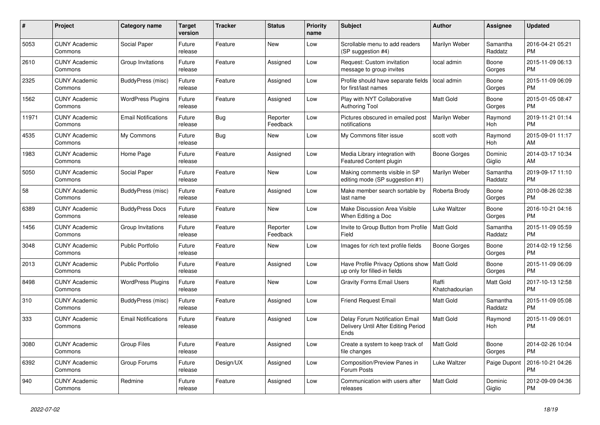| #     | Project                         | <b>Category name</b>       | <b>Target</b><br>version | <b>Tracker</b> | <b>Status</b>        | <b>Priority</b><br>name | <b>Subject</b>                                                                       | <b>Author</b>           | Assignee            | <b>Updated</b>                |
|-------|---------------------------------|----------------------------|--------------------------|----------------|----------------------|-------------------------|--------------------------------------------------------------------------------------|-------------------------|---------------------|-------------------------------|
| 5053  | <b>CUNY Academic</b><br>Commons | Social Paper               | Future<br>release        | Feature        | New                  | Low                     | Scrollable menu to add readers<br>(SP suggestion #4)                                 | Marilyn Weber           | Samantha<br>Raddatz | 2016-04-21 05:21<br><b>PM</b> |
| 2610  | <b>CUNY Academic</b><br>Commons | Group Invitations          | Future<br>release        | Feature        | Assigned             | Low                     | Request: Custom invitation<br>message to group invites                               | local admin             | Boone<br>Gorges     | 2015-11-09 06:13<br><b>PM</b> |
| 2325  | <b>CUNY Academic</b><br>Commons | BuddyPress (misc)          | Future<br>release        | Feature        | Assigned             | Low                     | Profile should have separate fields<br>for first/last names                          | local admin             | Boone<br>Gorges     | 2015-11-09 06:09<br><b>PM</b> |
| 1562  | <b>CUNY Academic</b><br>Commons | <b>WordPress Plugins</b>   | Future<br>release        | Feature        | Assigned             | Low                     | Play with NYT Collaborative<br><b>Authoring Tool</b>                                 | <b>Matt Gold</b>        | Boone<br>Gorges     | 2015-01-05 08:47<br><b>PM</b> |
| 11971 | <b>CUNY Academic</b><br>Commons | <b>Email Notifications</b> | Future<br>release        | Bug            | Reporter<br>Feedback | Low                     | Pictures obscured in emailed post<br>notifications                                   | Marilyn Weber           | Raymond<br>Hoh      | 2019-11-21 01:14<br><b>PM</b> |
| 4535  | <b>CUNY Academic</b><br>Commons | My Commons                 | Future<br>release        | Bug            | New                  | Low                     | My Commons filter issue                                                              | scott voth              | Raymond<br>Hoh      | 2015-09-01 11:17<br>AM        |
| 1983  | <b>CUNY Academic</b><br>Commons | Home Page                  | Future<br>release        | Feature        | Assigned             | Low                     | Media Library integration with<br>Featured Content plugin                            | Boone Gorges            | Dominic<br>Giglio   | 2014-03-17 10:34<br>AM        |
| 5050  | <b>CUNY Academic</b><br>Commons | Social Paper               | Future<br>release        | Feature        | New                  | Low                     | Making comments visible in SP<br>editing mode (SP suggestion #1)                     | Marilyn Weber           | Samantha<br>Raddatz | 2019-09-17 11:10<br><b>PM</b> |
| 58    | <b>CUNY Academic</b><br>Commons | BuddyPress (misc)          | Future<br>release        | Feature        | Assigned             | Low                     | Make member search sortable by<br>last name                                          | Roberta Brody           | Boone<br>Gorges     | 2010-08-26 02:38<br><b>PM</b> |
| 6389  | <b>CUNY Academic</b><br>Commons | <b>BuddyPress Docs</b>     | Future<br>release        | Feature        | <b>New</b>           | Low                     | Make Discussion Area Visible<br>When Editing a Doc                                   | Luke Waltzer            | Boone<br>Gorges     | 2016-10-21 04:16<br><b>PM</b> |
| 1456  | <b>CUNY Academic</b><br>Commons | Group Invitations          | Future<br>release        | Feature        | Reporter<br>Feedback | Low                     | Invite to Group Button from Profile<br>Field                                         | <b>Matt Gold</b>        | Samantha<br>Raddatz | 2015-11-09 05:59<br><b>PM</b> |
| 3048  | <b>CUNY Academic</b><br>Commons | Public Portfolio           | Future<br>release        | Feature        | <b>New</b>           | Low                     | Images for rich text profile fields                                                  | Boone Gorges            | Boone<br>Gorges     | 2014-02-19 12:56<br><b>PM</b> |
| 2013  | <b>CUNY Academic</b><br>Commons | <b>Public Portfolio</b>    | Future<br>release        | Feature        | Assigned             | Low                     | Have Profile Privacy Options show<br>up only for filled-in fields                    | l Matt Gold             | Boone<br>Gorges     | 2015-11-09 06:09<br><b>PM</b> |
| 8498  | <b>CUNY Academic</b><br>Commons | <b>WordPress Plugins</b>   | Future<br>release        | Feature        | <b>New</b>           | Low                     | <b>Gravity Forms Email Users</b>                                                     | Raffi<br>Khatchadourian | Matt Gold           | 2017-10-13 12:58<br><b>PM</b> |
| 310   | <b>CUNY Academic</b><br>Commons | BuddyPress (misc)          | Future<br>release        | Feature        | Assigned             | Low                     | <b>Friend Request Email</b>                                                          | Matt Gold               | Samantha<br>Raddatz | 2015-11-09 05:08<br><b>PM</b> |
| 333   | <b>CUNY Academic</b><br>Commons | <b>Email Notifications</b> | Future<br>release        | Feature        | Assigned             | Low                     | <b>Delay Forum Notification Email</b><br>Delivery Until After Editing Period<br>Ends | Matt Gold               | Raymond<br>Hoh      | 2015-11-09 06:01<br><b>PM</b> |
| 3080  | <b>CUNY Academic</b><br>Commons | Group Files                | Future<br>release        | Feature        | Assigned             | Low                     | Create a system to keep track of<br>file changes                                     | Matt Gold               | Boone<br>Gorges     | 2014-02-26 10:04<br><b>PM</b> |
| 6392  | <b>CUNY Academic</b><br>Commons | Group Forums               | Future<br>release        | Design/UX      | Assigned             | Low                     | <b>Composition/Preview Panes in</b><br>Forum Posts                                   | Luke Waltzer            | Paige Dupont        | 2016-10-21 04:26<br><b>PM</b> |
| 940   | <b>CUNY Academic</b><br>Commons | Redmine                    | Future<br>release        | Feature        | Assigned             | Low                     | Communication with users after<br>releases                                           | <b>Matt Gold</b>        | Dominic<br>Giglio   | 2012-09-09 04:36<br><b>PM</b> |